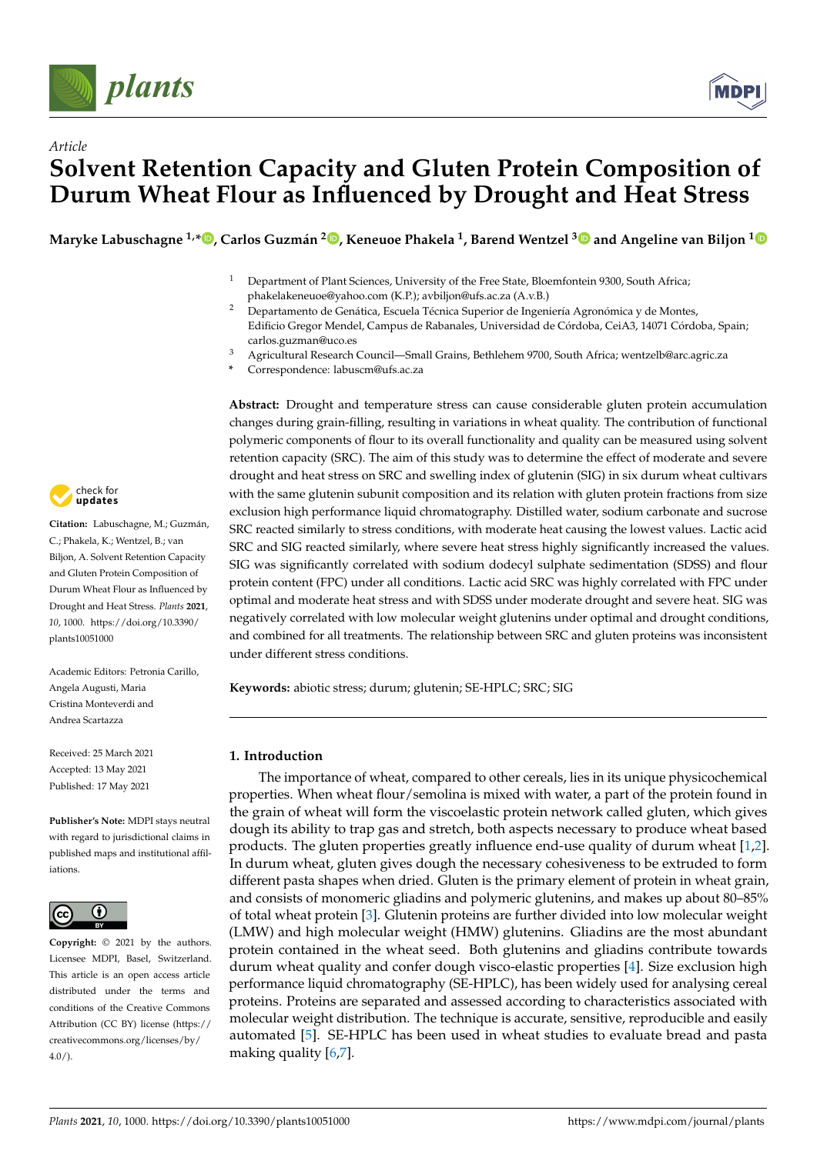



# *Article* **Solvent Retention Capacity and Gluten Protein Composition of Durum Wheat Flour as Influenced by Drought and Heat Stress**

**Maryke Labuschagne 1,\* [,](https://orcid.org/0000-0003-0593-2678) Carlos Guzmán 2 [,](https://orcid.org/0000-0002-1797-9273) Keneuoe Phakela <sup>1</sup> , Barend Wentzel [3](https://orcid.org/0000-0003-4444-7210) and Angeline van Biljon [1](https://orcid.org/0000-0001-9489-5623)**

- <sup>1</sup> Department of Plant Sciences, University of the Free State, Bloemfontein 9300, South Africa; phakelakeneuoe@yahoo.com (K.P.); avbiljon@ufs.ac.za (A.v.B.)
- <sup>2</sup> Departamento de Genática, Escuela Técnica Superior de Ingeniería Agronómica y de Montes, Edificio Gregor Mendel, Campus de Rabanales, Universidad de Córdoba, CeiA3, 14071 Córdoba, Spain; carlos.guzman@uco.es
- <sup>3</sup> Agricultural Research Council—Small Grains, Bethlehem 9700, South Africa; wentzelb@arc.agric.za
- **\*** Correspondence: labuscm@ufs.ac.za

**Abstract:** Drought and temperature stress can cause considerable gluten protein accumulation changes during grain-filling, resulting in variations in wheat quality. The contribution of functional polymeric components of flour to its overall functionality and quality can be measured using solvent retention capacity (SRC). The aim of this study was to determine the effect of moderate and severe drought and heat stress on SRC and swelling index of glutenin (SIG) in six durum wheat cultivars with the same glutenin subunit composition and its relation with gluten protein fractions from size exclusion high performance liquid chromatography. Distilled water, sodium carbonate and sucrose SRC reacted similarly to stress conditions, with moderate heat causing the lowest values. Lactic acid SRC and SIG reacted similarly, where severe heat stress highly significantly increased the values. SIG was significantly correlated with sodium dodecyl sulphate sedimentation (SDSS) and flour protein content (FPC) under all conditions. Lactic acid SRC was highly correlated with FPC under optimal and moderate heat stress and with SDSS under moderate drought and severe heat. SIG was negatively correlated with low molecular weight glutenins under optimal and drought conditions, and combined for all treatments. The relationship between SRC and gluten proteins was inconsistent under different stress conditions.

**Keywords:** abiotic stress; durum; glutenin; SE-HPLC; SRC; SIG

### **1. Introduction**

The importance of wheat, compared to other cereals, lies in its unique physicochemical properties. When wheat flour/semolina is mixed with water, a part of the protein found in the grain of wheat will form the viscoelastic protein network called gluten, which gives dough its ability to trap gas and stretch, both aspects necessary to produce wheat based products. The gluten properties greatly influence end-use quality of durum wheat [\[1,](#page-12-0)[2\]](#page-12-1). In durum wheat, gluten gives dough the necessary cohesiveness to be extruded to form different pasta shapes when dried. Gluten is the primary element of protein in wheat grain, and consists of monomeric gliadins and polymeric glutenins, and makes up about 80–85% of total wheat protein [\[3\]](#page-12-2). Glutenin proteins are further divided into low molecular weight (LMW) and high molecular weight (HMW) glutenins. Gliadins are the most abundant protein contained in the wheat seed. Both glutenins and gliadins contribute towards durum wheat quality and confer dough visco-elastic properties [\[4\]](#page-12-3). Size exclusion high performance liquid chromatography (SE-HPLC), has been widely used for analysing cereal proteins. Proteins are separated and assessed according to characteristics associated with molecular weight distribution. The technique is accurate, sensitive, reproducible and easily automated [\[5\]](#page-12-4). SE-HPLC has been used in wheat studies to evaluate bread and pasta making quality [\[6,](#page-12-5)[7\]](#page-12-6).



**Citation:** Labuschagne, M.; Guzmán, C.; Phakela, K.; Wentzel, B.; van Biljon, A. Solvent Retention Capacity and Gluten Protein Composition of Durum Wheat Flour as Influenced by Drought and Heat Stress. *Plants* **2021**, *10*, 1000. [https://doi.org/10.3390/](https://doi.org/10.3390/plants10051000) [plants10051000](https://doi.org/10.3390/plants10051000)

Academic Editors: Petronia Carillo, Angela Augusti, Maria Cristina Monteverdi and Andrea Scartazza

Received: 25 March 2021 Accepted: 13 May 2021 Published: 17 May 2021

**Publisher's Note:** MDPI stays neutral with regard to jurisdictional claims in published maps and institutional affiliations.



**Copyright:** © 2021 by the authors. Licensee MDPI, Basel, Switzerland. This article is an open access article distributed under the terms and conditions of the Creative Commons Attribution (CC BY) license (https:/[/](https://creativecommons.org/licenses/by/4.0/) [creativecommons.org/licenses/by/](https://creativecommons.org/licenses/by/4.0/)  $4.0/$ ).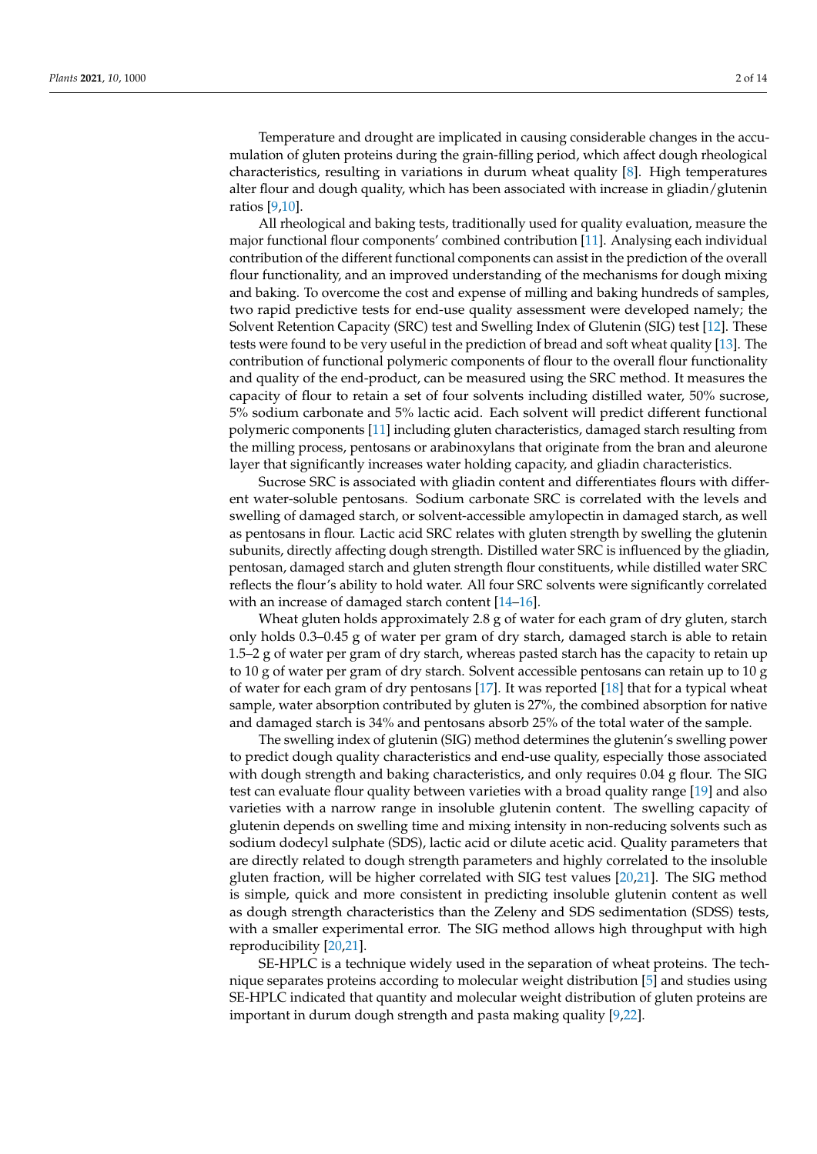Temperature and drought are implicated in causing considerable changes in the accumulation of gluten proteins during the grain-filling period, which affect dough rheological characteristics, resulting in variations in durum wheat quality [\[8\]](#page-12-7). High temperatures alter flour and dough quality, which has been associated with increase in gliadin/glutenin ratios [\[9](#page-12-8)[,10\]](#page-12-9).

All rheological and baking tests, traditionally used for quality evaluation, measure the major functional flour components' combined contribution [\[11\]](#page-12-10). Analysing each individual contribution of the different functional components can assist in the prediction of the overall flour functionality, and an improved understanding of the mechanisms for dough mixing and baking. To overcome the cost and expense of milling and baking hundreds of samples, two rapid predictive tests for end-use quality assessment were developed namely; the Solvent Retention Capacity (SRC) test and Swelling Index of Glutenin (SIG) test [\[12\]](#page-12-11). These tests were found to be very useful in the prediction of bread and soft wheat quality [\[13\]](#page-12-12). The contribution of functional polymeric components of flour to the overall flour functionality and quality of the end-product, can be measured using the SRC method. It measures the capacity of flour to retain a set of four solvents including distilled water, 50% sucrose, 5% sodium carbonate and 5% lactic acid. Each solvent will predict different functional polymeric components [\[11\]](#page-12-10) including gluten characteristics, damaged starch resulting from the milling process, pentosans or arabinoxylans that originate from the bran and aleurone layer that significantly increases water holding capacity, and gliadin characteristics.

Sucrose SRC is associated with gliadin content and differentiates flours with different water-soluble pentosans. Sodium carbonate SRC is correlated with the levels and swelling of damaged starch, or solvent-accessible amylopectin in damaged starch, as well as pentosans in flour. Lactic acid SRC relates with gluten strength by swelling the glutenin subunits, directly affecting dough strength. Distilled water SRC is influenced by the gliadin, pentosan, damaged starch and gluten strength flour constituents, while distilled water SRC reflects the flour's ability to hold water. All four SRC solvents were significantly correlated with an increase of damaged starch content [\[14](#page-12-13)[–16\]](#page-12-14).

Wheat gluten holds approximately 2.8 g of water for each gram of dry gluten, starch only holds 0.3–0.45 g of water per gram of dry starch, damaged starch is able to retain 1.5–2 g of water per gram of dry starch, whereas pasted starch has the capacity to retain up to 10 g of water per gram of dry starch. Solvent accessible pentosans can retain up to 10 g of water for each gram of dry pentosans [\[17\]](#page-12-15). It was reported [\[18\]](#page-12-16) that for a typical wheat sample, water absorption contributed by gluten is 27%, the combined absorption for native and damaged starch is 34% and pentosans absorb 25% of the total water of the sample.

The swelling index of glutenin (SIG) method determines the glutenin's swelling power to predict dough quality characteristics and end-use quality, especially those associated with dough strength and baking characteristics, and only requires 0.04 g flour. The SIG test can evaluate flour quality between varieties with a broad quality range [\[19\]](#page-12-17) and also varieties with a narrow range in insoluble glutenin content. The swelling capacity of glutenin depends on swelling time and mixing intensity in non-reducing solvents such as sodium dodecyl sulphate (SDS), lactic acid or dilute acetic acid. Quality parameters that are directly related to dough strength parameters and highly correlated to the insoluble gluten fraction, will be higher correlated with SIG test values [\[20,](#page-12-18)[21\]](#page-12-19). The SIG method is simple, quick and more consistent in predicting insoluble glutenin content as well as dough strength characteristics than the Zeleny and SDS sedimentation (SDSS) tests, with a smaller experimental error. The SIG method allows high throughput with high reproducibility [\[20,](#page-12-18)[21\]](#page-12-19).

SE-HPLC is a technique widely used in the separation of wheat proteins. The technique separates proteins according to molecular weight distribution [\[5\]](#page-12-4) and studies using SE-HPLC indicated that quantity and molecular weight distribution of gluten proteins are important in durum dough strength and pasta making quality [\[9,](#page-12-8)[22\]](#page-12-20).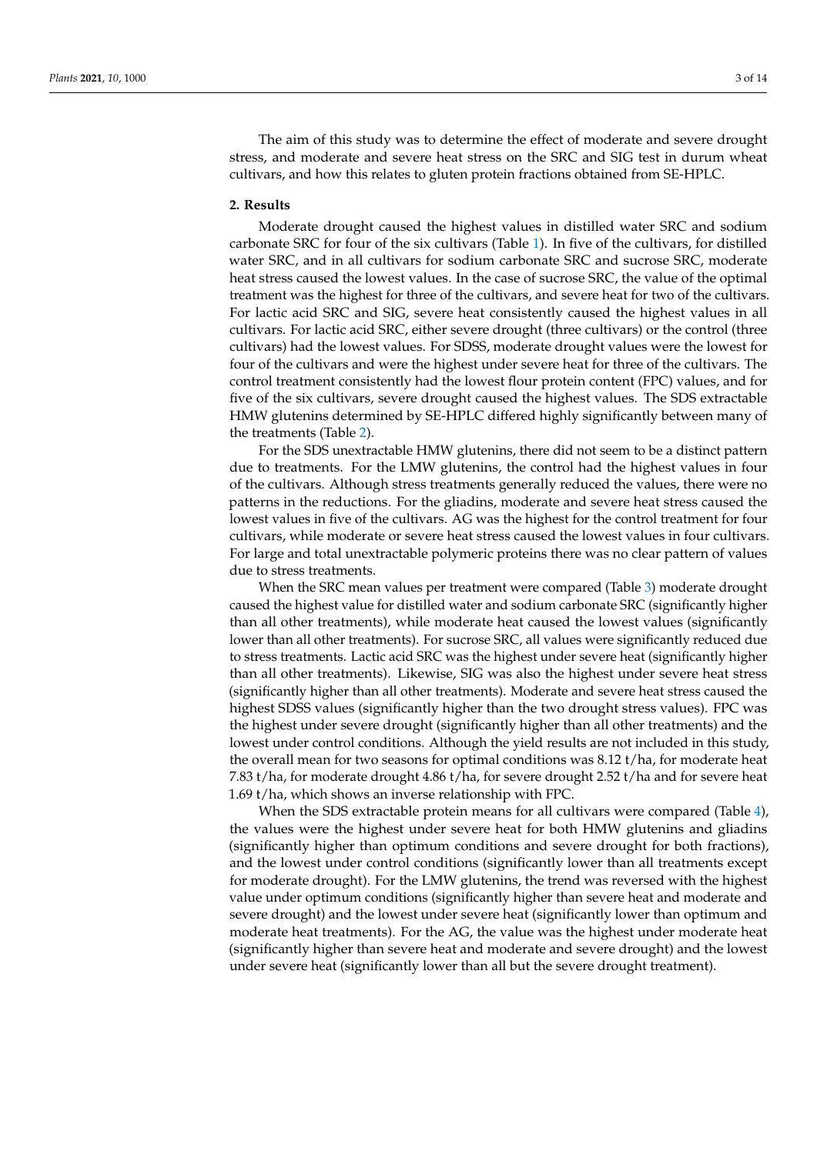The aim of this study was to determine the effect of moderate and severe drought stress, and moderate and severe heat stress on the SRC and SIG test in durum wheat cultivars, and how this relates to gluten protein fractions obtained from SE-HPLC.

#### **2. Results**

Moderate drought caused the highest values in distilled water SRC and sodium carbonate SRC for four of the six cultivars (Table [1\)](#page-3-0). In five of the cultivars, for distilled water SRC, and in all cultivars for sodium carbonate SRC and sucrose SRC, moderate heat stress caused the lowest values. In the case of sucrose SRC, the value of the optimal treatment was the highest for three of the cultivars, and severe heat for two of the cultivars. For lactic acid SRC and SIG, severe heat consistently caused the highest values in all cultivars. For lactic acid SRC, either severe drought (three cultivars) or the control (three cultivars) had the lowest values. For SDSS, moderate drought values were the lowest for four of the cultivars and were the highest under severe heat for three of the cultivars. The control treatment consistently had the lowest flour protein content (FPC) values, and for five of the six cultivars, severe drought caused the highest values. The SDS extractable HMW glutenins determined by SE-HPLC differed highly significantly between many of the treatments (Table [2\)](#page-4-0).

For the SDS unextractable HMW glutenins, there did not seem to be a distinct pattern due to treatments. For the LMW glutenins, the control had the highest values in four of the cultivars. Although stress treatments generally reduced the values, there were no patterns in the reductions. For the gliadins, moderate and severe heat stress caused the lowest values in five of the cultivars. AG was the highest for the control treatment for four cultivars, while moderate or severe heat stress caused the lowest values in four cultivars. For large and total unextractable polymeric proteins there was no clear pattern of values due to stress treatments.

When the SRC mean values per treatment were compared (Table [3\)](#page-5-0) moderate drought caused the highest value for distilled water and sodium carbonate SRC (significantly higher than all other treatments), while moderate heat caused the lowest values (significantly lower than all other treatments). For sucrose SRC, all values were significantly reduced due to stress treatments. Lactic acid SRC was the highest under severe heat (significantly higher than all other treatments). Likewise, SIG was also the highest under severe heat stress (significantly higher than all other treatments). Moderate and severe heat stress caused the highest SDSS values (significantly higher than the two drought stress values). FPC was the highest under severe drought (significantly higher than all other treatments) and the lowest under control conditions. Although the yield results are not included in this study, the overall mean for two seasons for optimal conditions was 8.12 t/ha, for moderate heat 7.83 t/ha, for moderate drought 4.86 t/ha, for severe drought 2.52 t/ha and for severe heat 1.69 t/ha, which shows an inverse relationship with FPC.

When the SDS extractable protein means for all cultivars were compared (Table [4\)](#page-5-1), the values were the highest under severe heat for both HMW glutenins and gliadins (significantly higher than optimum conditions and severe drought for both fractions), and the lowest under control conditions (significantly lower than all treatments except for moderate drought). For the LMW glutenins, the trend was reversed with the highest value under optimum conditions (significantly higher than severe heat and moderate and severe drought) and the lowest under severe heat (significantly lower than optimum and moderate heat treatments). For the AG, the value was the highest under moderate heat (significantly higher than severe heat and moderate and severe drought) and the lowest under severe heat (significantly lower than all but the severe drought treatment).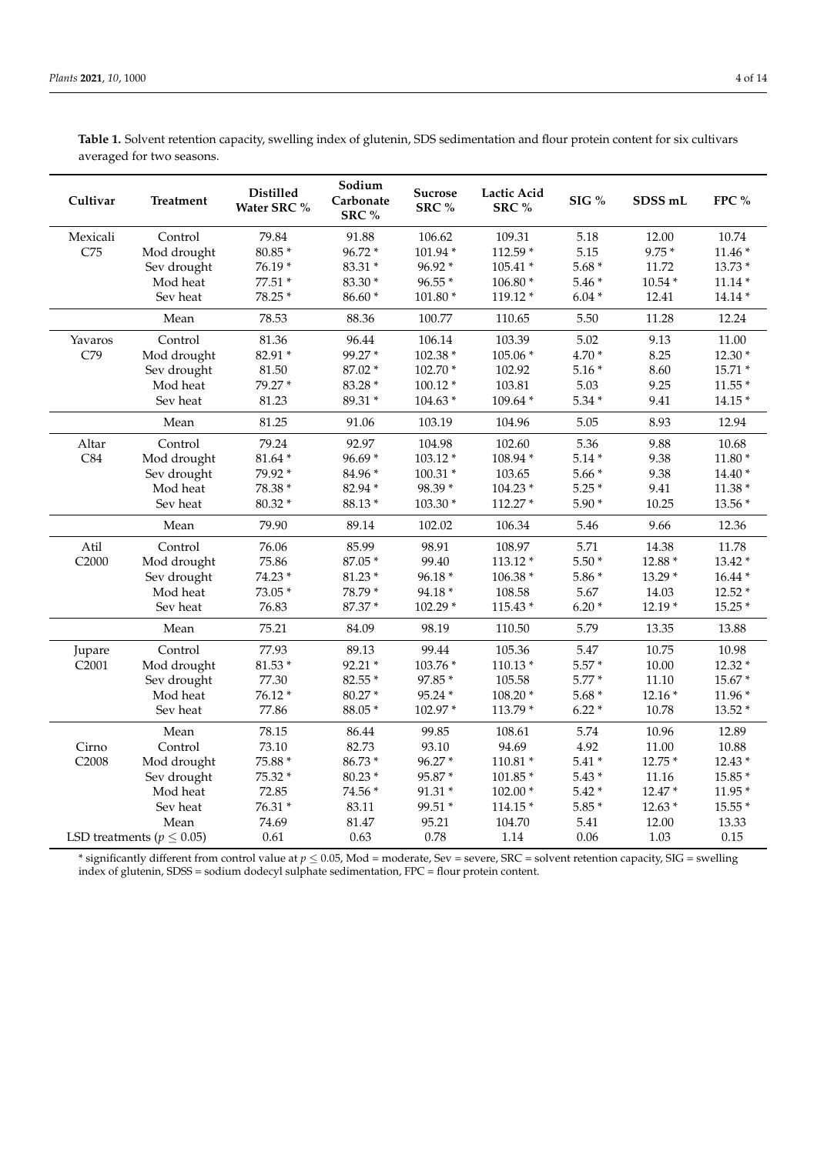<span id="page-3-0"></span>**Table 1.** Solvent retention capacity, swelling index of glutenin, SDS sedimentation and flour protein content for six cultivars averaged for two seasons.

| Cultivar          | <b>Treatment</b>                 | <b>Distilled</b><br>Water SRC % | Sodium<br>Carbonate<br>SRC% | Sucrose<br>SRC % | Lactic Acid<br>SRC% | SIG %   | SDSS mL   | FPC %     |
|-------------------|----------------------------------|---------------------------------|-----------------------------|------------------|---------------------|---------|-----------|-----------|
| Mexicali          | Control                          | 79.84                           | 91.88                       | 106.62           | 109.31              | 5.18    | 12.00     | 10.74     |
| C75               | Mod drought                      | $80.85*$                        | 96.72 *                     | 101.94 *         | 112.59 *            | 5.15    | $9.75*$   | $11.46*$  |
|                   | Sev drought                      | 76.19*                          | 83.31 *                     | 96.92 *          | $105.41*$           | $5.68*$ | 11.72     | 13.73 *   |
|                   | Mod heat                         | 77.51 *                         | 83.30 *                     | 96.55*           | $106.80*$           | $5.46*$ | $10.54 *$ | $11.14*$  |
|                   | Sev heat                         | 78.25 *                         | 86.60 *                     | $101.80*$        | 119.12 *            | $6.04*$ | 12.41     | $14.14*$  |
|                   | Mean                             | 78.53                           | 88.36                       | 100.77           | 110.65              | 5.50    | 11.28     | 12.24     |
| Yavaros           | Control                          | 81.36                           | 96.44                       | 106.14           | 103.39              | 5.02    | 9.13      | $11.00\,$ |
| C79               | Mod drought                      | 82.91 *                         | 99.27*                      | 102.38 *         | 105.06 *            | 4.70 *  | 8.25      | $12.30*$  |
|                   | Sev drought                      | 81.50                           | 87.02 *                     | 102.70 *         | 102.92              | $5.16*$ | 8.60      | 15.71 *   |
|                   | Mod heat                         | 79.27 *                         | 83.28 *                     | $100.12*$        | 103.81              | 5.03    | 9.25      | $11.55*$  |
|                   | Sev heat                         | 81.23                           | 89.31 *                     | $104.63*$        | 109.64 *            | $5.34*$ | 9.41      | $14.15*$  |
|                   | Mean                             | 81.25                           | 91.06                       | 103.19           | 104.96              | 5.05    | 8.93      | 12.94     |
| Altar             | Control                          | 79.24                           | 92.97                       | 104.98           | 102.60              | 5.36    | 9.88      | 10.68     |
| C84               | Mod drought                      | $81.64*$                        | $96.69*$                    | $103.12*$        | 108.94 *            | $5.14*$ | 9.38      | $11.80*$  |
|                   | Sev drought                      | 79.92 *                         | 84.96 *                     | $100.31 *$       | 103.65              | $5.66*$ | 9.38      | $14.40*$  |
|                   | Mod heat                         | 78.38 *                         | 82.94 *                     | 98.39 *          | $104.23*$           | $5.25*$ | 9.41      | $11.38*$  |
|                   | Sev heat                         | 80.32 *                         | 88.13*                      | 103.30 *         | 112.27 *            | $5.90*$ | 10.25     | 13.56 *   |
|                   | Mean                             | 79.90                           | 89.14                       | 102.02           | 106.34              | 5.46    | 9.66      | 12.36     |
| Atil              | Control                          | 76.06                           | 85.99                       | 98.91            | 108.97              | 5.71    | 14.38     | 11.78     |
| C <sub>2000</sub> | Mod drought                      | 75.86                           | 87.05 *                     | 99.40            | $113.12*$           | $5.50*$ | 12.88 *   | $13.42*$  |
|                   | Sev drought                      | 74.23 *                         | $81.23*$                    | 96.18 *          | 106.38 *            | $5.86*$ | $13.29*$  | $16.44*$  |
|                   | Mod heat                         | 73.05 *                         | 78.79 *                     | 94.18 *          | 108.58              | 5.67    | 14.03     | 12.52 *   |
|                   | Sev heat                         | 76.83                           | 87.37 *                     | 102.29 *         | 115.43 *            | $6.20*$ | $12.19*$  | 15.25 *   |
|                   | Mean                             | 75.21                           | 84.09                       | 98.19            | 110.50              | 5.79    | 13.35     | 13.88     |
| Jupare            | Control                          | 77.93                           | 89.13                       | 99.44            | 105.36              | 5.47    | 10.75     | 10.98     |
| C2001             | Mod drought                      | $81.53*$                        | 92.21 *                     | 103.76 *         | $110.13*$           | $5.57*$ | 10.00     | 12.32 *   |
|                   | Sev drought                      | 77.30                           | 82.55 *                     | 97.85 *          | 105.58              | $5.77*$ | 11.10     | 15.67 *   |
|                   | Mod heat                         | $76.12*$                        | 80.27*                      | 95.24 *          | $108.20*$           | $5.68*$ | $12.16*$  | 11.96 *   |
|                   | Sev heat                         | 77.86                           | 88.05 *                     | 102.97*          | 113.79 *            | $6.22*$ | 10.78     | 13.52 *   |
|                   | Mean                             | 78.15                           | 86.44                       | 99.85            | 108.61              | 5.74    | 10.96     | 12.89     |
| Cirno             | Control                          | 73.10                           | 82.73                       | 93.10            | 94.69               | 4.92    | $11.00\,$ | 10.88     |
| C2008             | Mod drought                      | 75.88 *                         | 86.73 *                     | 96.27*           | $110.81*$           | $5.41*$ | 12.75 *   | $12.43*$  |
|                   | Sev drought                      | 75.32 *                         | 80.23 *                     | 95.87 *          | $101.85*$           | $5.43*$ | 11.16     | 15.85 *   |
|                   | Mod heat                         | 72.85                           | 74.56 *                     | $91.31 *$        | $102.00*$           | $5.42*$ | 12.47 *   | $11.95*$  |
|                   | Sev heat                         | 76.31 *                         | 83.11                       | 99.51 *          | $114.15*$           | $5.85*$ | $12.63*$  | 15.55 *   |
|                   | Mean                             | 74.69                           | 81.47                       | 95.21            | 104.70              | 5.41    | 12.00     | 13.33     |
|                   | LSD treatments ( $p \leq 0.05$ ) | 0.61                            | 0.63                        | 0.78             | 1.14                | 0.06    | 1.03      | $0.15\,$  |

 $^*$  significantly different from control value at  $p\leq 0.05$  , Mod = moderate, Sev = severe, SRC = solvent retention capacity, SIG = swelling index of glutenin, SDSS = sodium dodecyl sulphate sedimentation, FPC = flour protein content.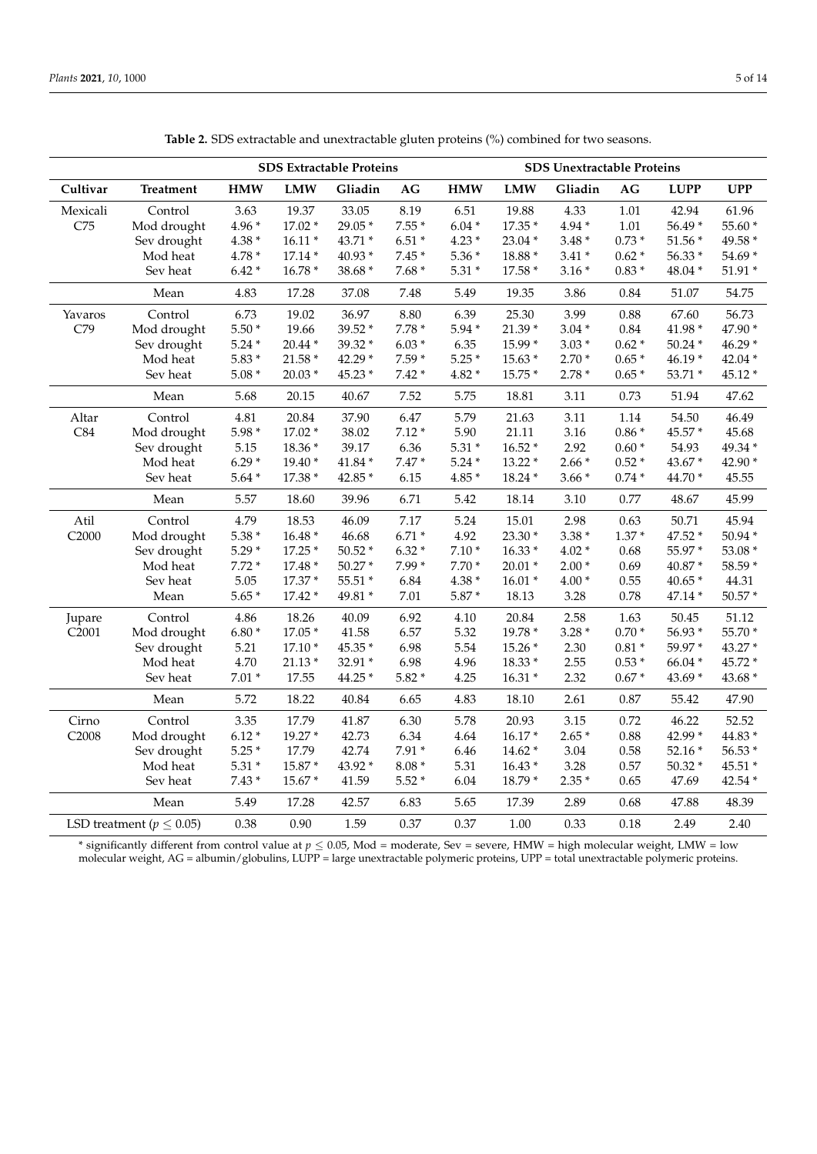<span id="page-4-0"></span>

|                   |                                 | <b>SDS Extractable Proteins</b> |            |          |                        | <b>SDS Unextractable Proteins</b> |            |          |         |             |            |
|-------------------|---------------------------------|---------------------------------|------------|----------|------------------------|-----------------------------------|------------|----------|---------|-------------|------------|
| Cultivar          | <b>Treatment</b>                | <b>HMW</b>                      | <b>LMW</b> | Gliadin  | $\mathbf{A}\mathbf{G}$ | <b>HMW</b>                        | <b>LMW</b> | Gliadin  | AG      | <b>LUPP</b> | <b>UPP</b> |
| Mexicali          | Control                         | 3.63                            | 19.37      | 33.05    | 8.19                   | 6.51                              | 19.88      | 4.33     | 1.01    | 42.94       | 61.96      |
| C75               | Mod drought                     | $4.96*$                         | 17.02 *    | 29.05 *  | $7.55*$                | $6.04*$                           | 17.35 *    | $4.94*$  | 1.01    | 56.49 *     | 55.60 *    |
|                   | Sev drought                     | $4.38*$                         | $16.11*$   | 43.71 *  | $6.51*$                | $4.23*$                           | 23.04 *    | $3.48*$  | $0.73*$ | $51.56*$    | 49.58 *    |
|                   | Mod heat                        | $4.78*$                         | $17.14*$   | 40.93 *  | $7.45*$                | $5.36*$                           | 18.88 *    | $3.41*$  | $0.62*$ | 56.33 *     | 54.69 *    |
|                   | Sev heat                        | $6.42*$                         | 16.78 *    | 38.68 *  | $7.68*$                | $5.31*$                           | 17.58 *    | $3.16*$  | $0.83*$ | 48.04 *     | 51.91 *    |
|                   | Mean                            | 4.83                            | 17.28      | 37.08    | 7.48                   | 5.49                              | 19.35      | 3.86     | 0.84    | 51.07       | 54.75      |
| Yavaros           | Control                         | 6.73                            | 19.02      | 36.97    | 8.80                   | 6.39                              | 25.30      | 3.99     | 0.88    | 67.60       | 56.73      |
| C79               | Mod drought                     | $5.50*$                         | 19.66      | 39.52 *  | $7.78*$                | $5.94*$                           | 21.39 *    | $3.04*$  | 0.84    | 41.98 *     | 47.90 *    |
|                   | Sev drought                     | $5.24*$                         | $20.44*$   | 39.32 *  | $6.03*$                | 6.35                              | 15.99 *    | $3.03*$  | $0.62*$ | $50.24*$    | $46.29*$   |
|                   | Mod heat                        | $5.83*$                         | $21.58*$   | 42.29 *  | $7.59*$                | $5.25*$                           | $15.63*$   | $2.70*$  | $0.65*$ | $46.19*$    | 42.04 *    |
|                   | Sev heat                        | $5.08*$                         | $20.03*$   | 45.23 *  | $7.42*$                | $4.82 *$                          | 15.75 *    | $2.78*$  | $0.65*$ | 53.71 *     | 45.12 *    |
|                   | Mean                            | 5.68                            | 20.15      | 40.67    | 7.52                   | 5.75                              | 18.81      | 3.11     | 0.73    | 51.94       | 47.62      |
| Altar             | Control                         | 4.81                            | 20.84      | 37.90    | 6.47                   | 5.79                              | 21.63      | 3.11     | 1.14    | 54.50       | 46.49      |
| C84               | Mod drought                     | $5.98*$                         | $17.02*$   | 38.02    | $7.12*$                | 5.90                              | 21.11      | 3.16     | $0.86*$ | 45.57 *     | 45.68      |
|                   | Sev drought                     | 5.15                            | 18.36 *    | 39.17    | 6.36                   | $5.31*$                           | $16.52*$   | 2.92     | $0.60*$ | 54.93       | 49.34 *    |
|                   | Mod heat                        | $6.29*$                         | $19.40*$   | 41.84 *  | $7.47*$                | $5.24*$                           | 13.22 *    | $2.66*$  | $0.52*$ | 43.67 *     | 42.90 *    |
|                   | Sev heat                        | $5.64*$                         | 17.38 *    | 42.85 *  | 6.15                   | $4.85*$                           | 18.24 *    | $3.66*$  | $0.74*$ | 44.70 *     | 45.55      |
|                   | Mean                            | 5.57                            | 18.60      | 39.96    | 6.71                   | 5.42                              | 18.14      | 3.10     | 0.77    | 48.67       | 45.99      |
| Atil              | Control                         | 4.79                            | 18.53      | 46.09    | 7.17                   | 5.24                              | 15.01      | 2.98     | 0.63    | 50.71       | 45.94      |
| C2000             | Mod drought                     | $5.38*$                         | $16.48*$   | 46.68    | $6.71 *$               | 4.92                              | 23.30 *    | $3.38*$  | $1.37*$ | 47.52 *     | $50.94*$   |
|                   | Sev drought                     | $5.29*$                         | $17.25*$   | $50.52*$ | $6.32*$                | $7.10*$                           | $16.33*$   | $4.02 *$ | 0.68    | 55.97*      | 53.08 *    |
|                   | Mod heat                        | $7.72*$                         | 17.48 *    | $50.27*$ | $7.99*$                | $7.70*$                           | $20.01*$   | $2.00*$  | 0.69    | 40.87 *     | 58.59 *    |
|                   | Sev heat                        | 5.05                            | 17.37 *    | $55.51*$ | 6.84                   | $4.38 *$                          | $16.01*$   | $4.00*$  | 0.55    | $40.65*$    | 44.31      |
|                   | Mean                            | $5.65*$                         | $17.42*$   | 49.81 *  | 7.01                   | $5.87*$                           | 18.13      | 3.28     | 0.78    | 47.14 *     | 50.57 *    |
| Jupare            | Control                         | 4.86                            | 18.26      | 40.09    | 6.92                   | 4.10                              | 20.84      | 2.58     | 1.63    | 50.45       | 51.12      |
| C <sub>2001</sub> | Mod drought                     | $6.80*$                         | $17.05*$   | 41.58    | 6.57                   | 5.32                              | 19.78 *    | $3.28*$  | $0.70*$ | 56.93 *     | 55.70 *    |
|                   | Sev drought                     | 5.21                            | $17.10*$   | 45.35 *  | 6.98                   | 5.54                              | 15.26 *    | 2.30     | $0.81*$ | 59.97*      | 43.27 *    |
|                   | Mod heat                        | 4.70                            | $21.13*$   | 32.91 *  | 6.98                   | 4.96                              | 18.33 *    | 2.55     | $0.53*$ | 66.04 *     | 45.72 *    |
|                   | Sev heat                        | $7.01*$                         | 17.55      | 44.25 *  | $5.82*$                | 4.25                              | $16.31*$   | 2.32     | $0.67*$ | $43.69*$    | 43.68 *    |
|                   | Mean                            | 5.72                            | 18.22      | 40.84    | 6.65                   | 4.83                              | 18.10      | 2.61     | 0.87    | 55.42       | 47.90      |
| Cirno             | Control                         | 3.35                            | 17.79      | 41.87    | 6.30                   | 5.78                              | 20.93      | 3.15     | 0.72    | 46.22       | 52.52      |
| C2008             | Mod drought                     | $6.12*$                         | 19.27 *    | 42.73    | 6.34                   | 4.64                              | $16.17*$   | $2.65*$  | 0.88    | 42.99 *     | 44.83 *    |
|                   | Sev drought                     | $5.25*$                         | 17.79      | 42.74    | $7.91*$                | 6.46                              | $14.62*$   | 3.04     | 0.58    | $52.16*$    | 56.53 *    |
|                   | Mod heat                        | $5.31*$                         | 15.87 *    | 43.92 *  | $8.08$ *               | 5.31                              | $16.43*$   | 3.28     | 0.57    | $50.32*$    | 45.51 *    |
|                   | Sev heat                        | $7.43*$                         | 15.67 *    | 41.59    | $5.52*$                | 6.04                              | 18.79 *    | $2.35*$  | 0.65    | 47.69       | 42.54 *    |
|                   | Mean                            | 5.49                            | 17.28      | 42.57    | 6.83                   | 5.65                              | 17.39      | 2.89     | 0.68    | 47.88       | 48.39      |
|                   | LSD treatment ( $p \leq 0.05$ ) | 0.38                            | 0.90       | 1.59     | 0.37                   | 0.37                              | 1.00       | 0.33     | 0.18    | 2.49        | 2.40       |

**Table 2.** SDS extractable and unextractable gluten proteins (%) combined for two seasons.

\* significantly different from control value at *p* ≤ 0.05, Mod = moderate, Sev = severe, HMW = high molecular weight, LMW = low molecular weight, AG = albumin/globulins, LUPP = large unextractable polymeric proteins, UPP = total unextractable polymeric proteins.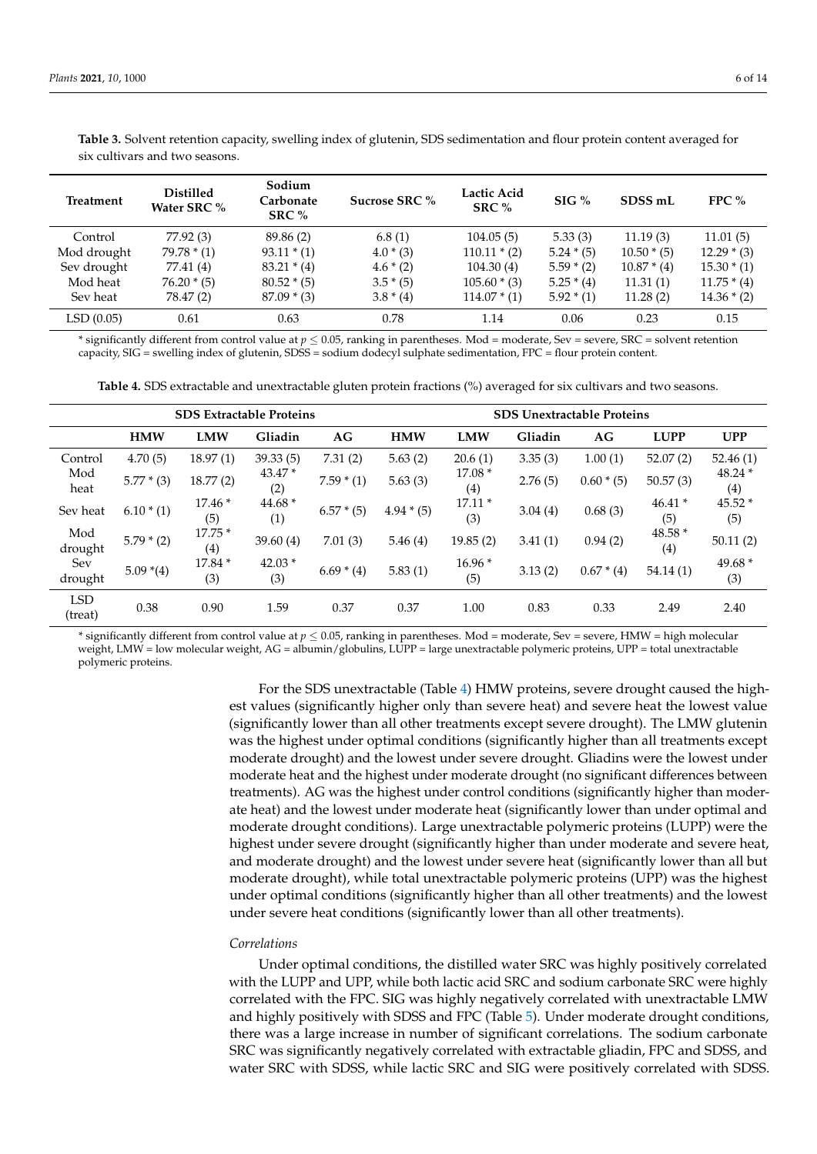| Treatment   | <b>Distilled</b><br>Water SRC % | Sodium<br>Carbonate<br>SRC % | Sucrose SRC % | Lactic Acid<br>SRC $%$ | $SIG\%$      | SDSS <sub>mL</sub> | FPC $%$       |
|-------------|---------------------------------|------------------------------|---------------|------------------------|--------------|--------------------|---------------|
| Control     | 77.92 (3)                       | 89.86 (2)                    | 6.8(1)        | 104.05(5)              | 5.33(3)      | 11.19(3)           | 11.01(5)      |
| Mod drought | $79.78*(1)$                     | $93.11 * (1)$                | $4.0*(3)$     | $110.11 * (2)$         | $5.24*(5)$   | $10.50*(5)$        | $12.29 * (3)$ |
| Sev drought | 77.41 (4)                       | $83.21 * (4)$                | $4.6 * (2)$   | 104.30(4)              | $5.59 * (2)$ | $10.87 * (4)$      | $15.30*(1)$   |
| Mod heat    | $76.20*(5)$                     | $80.52*(5)$                  | $3.5*(5)$     | $105.60*(3)$           | $5.25*(4)$   | 11.31(1)           | $11.75 * (4)$ |
| Sev heat    | 78.47 (2)                       | $87.09 * (3)$                | $3.8*(4)$     | $114.07 * (1)$         | $5.92 * (1)$ | 11.28(2)           | $14.36 * (2)$ |
| LSD(0.05)   | 0.61                            | 0.63                         | 0.78          | 1.14                   | 0.06         | 0.23               | 0.15          |

<span id="page-5-0"></span>**Table 3.** Solvent retention capacity, swelling index of glutenin, SDS sedimentation and flour protein content averaged for six cultivars and two seasons.

\* significantly different from control value at *p* ≤ 0.05, ranking in parentheses. Mod = moderate, Sev = severe, SRC = solvent retention capacity, SIG = swelling index of glutenin, SDSS = sodium dodecyl sulphate sedimentation, FPC = flour protein content.

**Table 4.** SDS extractable and unextractable gluten protein fractions (%) averaged for six cultivars and two seasons.

<span id="page-5-1"></span>

|                       | <b>SDS Extractable Proteins</b> |                 |                 |              |            | <b>SDS Unextractable Proteins</b> |         |              |                 |                 |  |
|-----------------------|---------------------------------|-----------------|-----------------|--------------|------------|-----------------------------------|---------|--------------|-----------------|-----------------|--|
|                       | <b>HMW</b>                      | <b>LMW</b>      | Gliadin         | AG           | <b>HMW</b> | <b>LMW</b>                        | Gliadin | AG           | <b>LUPP</b>     | <b>UPP</b>      |  |
| Control               | 4.70(5)                         | 18.97(1)        | 39.33(5)        | 7.31(2)      | 5.63(2)    | 20.6(1)                           | 3.35(3) | 1.00(1)      | 52.07(2)        | 52.46(1)        |  |
| Mod<br>heat           | $5.77*(3)$                      | 18.77(2)        | $43.47*$<br>(2) | $7.59 * (1)$ | 5.63(3)    | $17.08*$<br>(4)                   | 2.76(5) | $0.60*(5)$   | 50.57(3)        | $48.24*$<br>(4) |  |
| Sev heat              | $6.10*(1)$                      | $17.46*$<br>(5) | 44.68 *<br>(1)  | $6.57*(5)$   | $4.94*(5)$ | $17.11*$<br>(3)                   | 3.04(4) | 0.68(3)      | $46.41*$<br>(5) | 45.52 *<br>(5)  |  |
| Mod<br>drought        | $5.79 * (2)$                    | $17.75*$<br>(4) | 39.60(4)        | 7.01(3)      | 5.46(4)    | 19.85(2)                          | 3.41(1) | 0.94(2)      | 48.58 *<br>(4)  | 50.11(2)        |  |
| Sev<br>drought        | $5.09*(4)$                      | 17.84 *<br>(3)  | $42.03*$<br>(3) | $6.69*(4)$   | 5.83(1)    | $16.96*$<br>(5)                   | 3.13(2) | $0.67 * (4)$ | 54.14(1)        | 49.68 *<br>(3)  |  |
| <b>LSD</b><br>(treat) | 0.38                            | 0.90            | 1.59            | 0.37         | 0.37       | 1.00                              | 0.83    | 0.33         | 2.49            | 2.40            |  |

\* significantly different from control value at *p* ≤ 0.05, ranking in parentheses. Mod = moderate, Sev = severe, HMW = high molecular weight, LMW = low molecular weight, AG = albumin/globulins, LUPP = large unextractable polymeric proteins, UPP = total unextractable polymeric proteins.

> For the SDS unextractable (Table [4\)](#page-5-1) HMW proteins, severe drought caused the highest values (significantly higher only than severe heat) and severe heat the lowest value (significantly lower than all other treatments except severe drought). The LMW glutenin was the highest under optimal conditions (significantly higher than all treatments except moderate drought) and the lowest under severe drought. Gliadins were the lowest under moderate heat and the highest under moderate drought (no significant differences between treatments). AG was the highest under control conditions (significantly higher than moderate heat) and the lowest under moderate heat (significantly lower than under optimal and moderate drought conditions). Large unextractable polymeric proteins (LUPP) were the highest under severe drought (significantly higher than under moderate and severe heat, and moderate drought) and the lowest under severe heat (significantly lower than all but moderate drought), while total unextractable polymeric proteins (UPP) was the highest under optimal conditions (significantly higher than all other treatments) and the lowest under severe heat conditions (significantly lower than all other treatments).

#### *Correlations*

Under optimal conditions, the distilled water SRC was highly positively correlated with the LUPP and UPP, while both lactic acid SRC and sodium carbonate SRC were highly correlated with the FPC. SIG was highly negatively correlated with unextractable LMW and highly positively with SDSS and FPC (Table [5\)](#page-6-0). Under moderate drought conditions, there was a large increase in number of significant correlations. The sodium carbonate SRC was significantly negatively correlated with extractable gliadin, FPC and SDSS, and water SRC with SDSS, while lactic SRC and SIG were positively correlated with SDSS.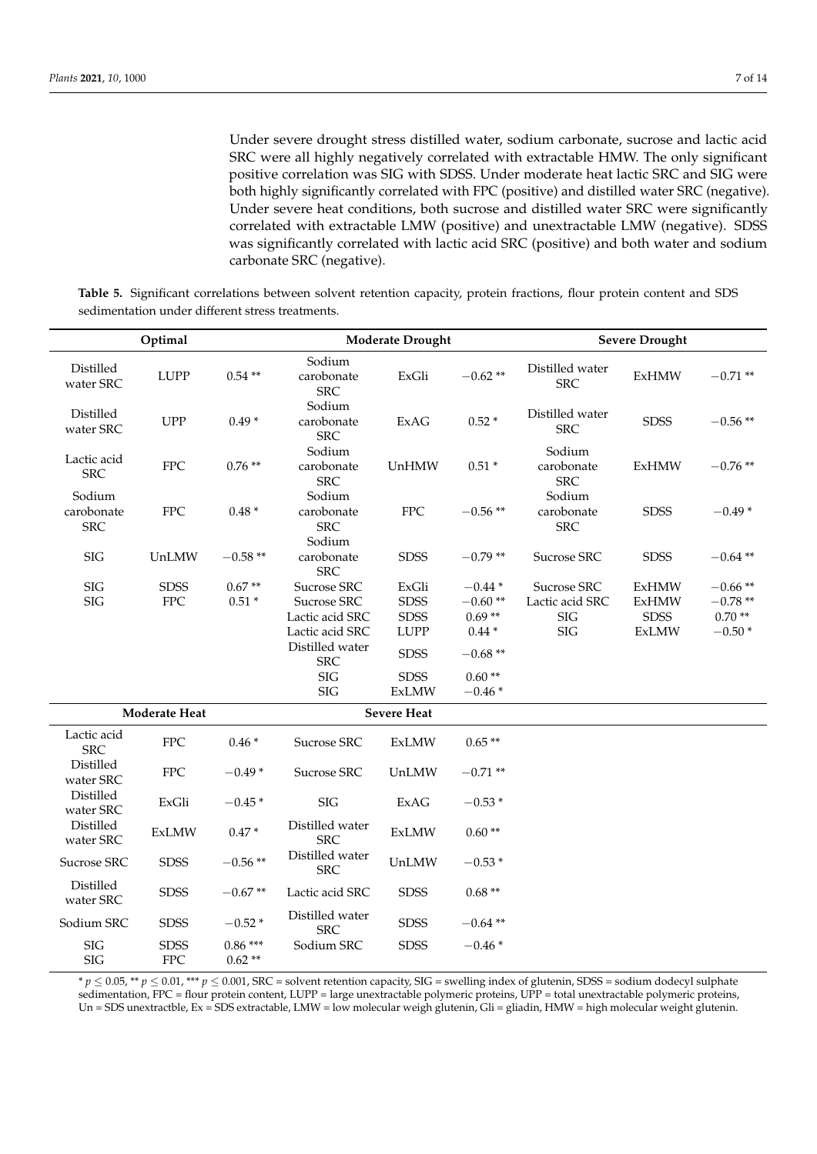Under severe drought stress distilled water, sodium carbonate, sucrose and lactic acid SRC were all highly negatively correlated with extractable HMW. The only significant positive correlation was SIG with SDSS. Under moderate heat lactic SRC and SIG were both highly significantly correlated with FPC (positive) and distilled water SRC (negative). Under severe heat conditions, both sucrose and distilled water SRC were significantly correlated with extractable LMW (positive) and unextractable LMW (negative). SDSS was significantly correlated with lactic acid SRC (positive) and both water and sodium carbonate SRC (negative).

<span id="page-6-0"></span>**Table 5.** Significant correlations between solvent retention capacity, protein fractions, flour protein content and SDS sedimentation under different stress treatments.

|                                    | Optimal                   |                       |                                                                                     | <b>Moderate Drought</b>                            |                                              | <b>Severe Drought</b>                        |                                                             |                                                |  |
|------------------------------------|---------------------------|-----------------------|-------------------------------------------------------------------------------------|----------------------------------------------------|----------------------------------------------|----------------------------------------------|-------------------------------------------------------------|------------------------------------------------|--|
| Distilled<br>water SRC             | <b>LUPP</b>               | $0.54**$              | Sodium<br>carobonate<br><b>SRC</b>                                                  | ExGli                                              | $-0.62**$                                    | Distilled water<br><b>SRC</b>                | <b>ExHMW</b>                                                | $-0.71**$                                      |  |
| Distilled<br>water SRC             | <b>UPP</b>                | $0.49*$               | Sodium<br>carobonate<br><b>SRC</b>                                                  | ExAG                                               | $0.52*$                                      | Distilled water<br><b>SRC</b>                | <b>SDSS</b>                                                 | $-0.56**$                                      |  |
| Lactic acid<br><b>SRC</b>          | <b>FPC</b>                | $0.76**$              | Sodium<br>carobonate<br><b>SRC</b>                                                  | UnHMW                                              | $0.51*$                                      | Sodium<br>carobonate<br><b>SRC</b>           | <b>ExHMW</b>                                                | $-0.76**$                                      |  |
| Sodium<br>carobonate<br><b>SRC</b> | ${\rm FPC}$               | $0.48*$               | Sodium<br>carobonate<br><b>SRC</b><br>Sodium                                        | ${\rm FPC}$                                        | $-0.56**$                                    | Sodium<br>carobonate<br><b>SRC</b>           | <b>SDSS</b>                                                 | $-0.49*$                                       |  |
| <b>SIG</b>                         | UnLMW                     | $-0.58**$             | carobonate<br><b>SRC</b>                                                            | <b>SDSS</b>                                        | $-0.79**$                                    | Sucrose SRC                                  | <b>SDSS</b>                                                 | $-0.64**$                                      |  |
| <b>SIG</b><br>SIG                  | <b>SDSS</b><br><b>FPC</b> | $0.67**$<br>$0.51*$   | Sucrose SRC<br>Sucrose SRC<br>Lactic acid SRC<br>Lactic acid SRC<br>Distilled water | ExGli<br><b>SDSS</b><br><b>SDSS</b><br><b>LUPP</b> | $-0.44*$<br>$-0.60**$<br>$0.69**$<br>$0.44*$ | Sucrose SRC<br>Lactic acid SRC<br>SIG<br>SIG | <b>ExHMW</b><br><b>ExHMW</b><br><b>SDSS</b><br><b>ExLMW</b> | $-0.66**$<br>$-0.78**$<br>$0.70**$<br>$-0.50*$ |  |
|                                    |                           |                       | <b>SRC</b><br>$\rm SIG$                                                             | <b>SDSS</b><br><b>SDSS</b>                         | $-0.68**$<br>$0.60**$                        |                                              |                                                             |                                                |  |
|                                    |                           |                       | SIG                                                                                 | <b>ExLMW</b>                                       | $-0.46*$                                     |                                              |                                                             |                                                |  |
|                                    | Moderate Heat             |                       |                                                                                     | <b>Severe Heat</b>                                 |                                              |                                              |                                                             |                                                |  |
| Lactic acid<br><b>SRC</b>          | <b>FPC</b>                | $0.46*$               | Sucrose SRC                                                                         | <b>ExLMW</b>                                       | $0.65**$                                     |                                              |                                                             |                                                |  |
| Distilled<br>water SRC             | ${\rm FPC}$               | $-0.49*$              | Sucrose SRC                                                                         | UnLMW                                              | $-0.71$ **                                   |                                              |                                                             |                                                |  |
| Distilled<br>water SRC             | ExGli                     | $-0.45*$              | SIG                                                                                 | <b>ExAG</b>                                        | $-0.53*$                                     |                                              |                                                             |                                                |  |
| Distilled<br>water SRC             | <b>ExLMW</b>              | $0.47*$               | Distilled water<br><b>SRC</b>                                                       | <b>ExLMW</b>                                       | $0.60**$                                     |                                              |                                                             |                                                |  |
| Sucrose SRC                        | <b>SDSS</b>               | $-0.56$ **            | Distilled water<br><b>SRC</b>                                                       | UnLMW                                              | $-0.53*$                                     |                                              |                                                             |                                                |  |
| Distilled<br>water SRC             | <b>SDSS</b>               | $-0.67**$             | Lactic acid SRC                                                                     | <b>SDSS</b>                                        | $0.68**$                                     |                                              |                                                             |                                                |  |
| Sodium SRC                         | <b>SDSS</b>               | $-0.52*$              | Distilled water<br><b>SRC</b>                                                       | <b>SDSS</b>                                        | $-0.64**$                                    |                                              |                                                             |                                                |  |
| SIG<br>SIG                         | <b>SDSS</b><br><b>FPC</b> | $0.86***$<br>$0.62**$ | Sodium SRC                                                                          | <b>SDSS</b>                                        | $-0.46*$                                     |                                              |                                                             |                                                |  |

\* *p* ≤ 0.05, \*\* *p* ≤ 0.01, \*\*\* *p* ≤ 0.001, SRC = solvent retention capacity, SIG = swelling index of glutenin, SDSS = sodium dodecyl sulphate sedimentation, FPC = flour protein content, LUPP = large unextractable polymeric proteins, UPP = total unextractable polymeric proteins, Un = SDS unextractble, Ex = SDS extractable, LMW = low molecular weigh glutenin, Gli = gliadin, HMW = high molecular weight glutenin.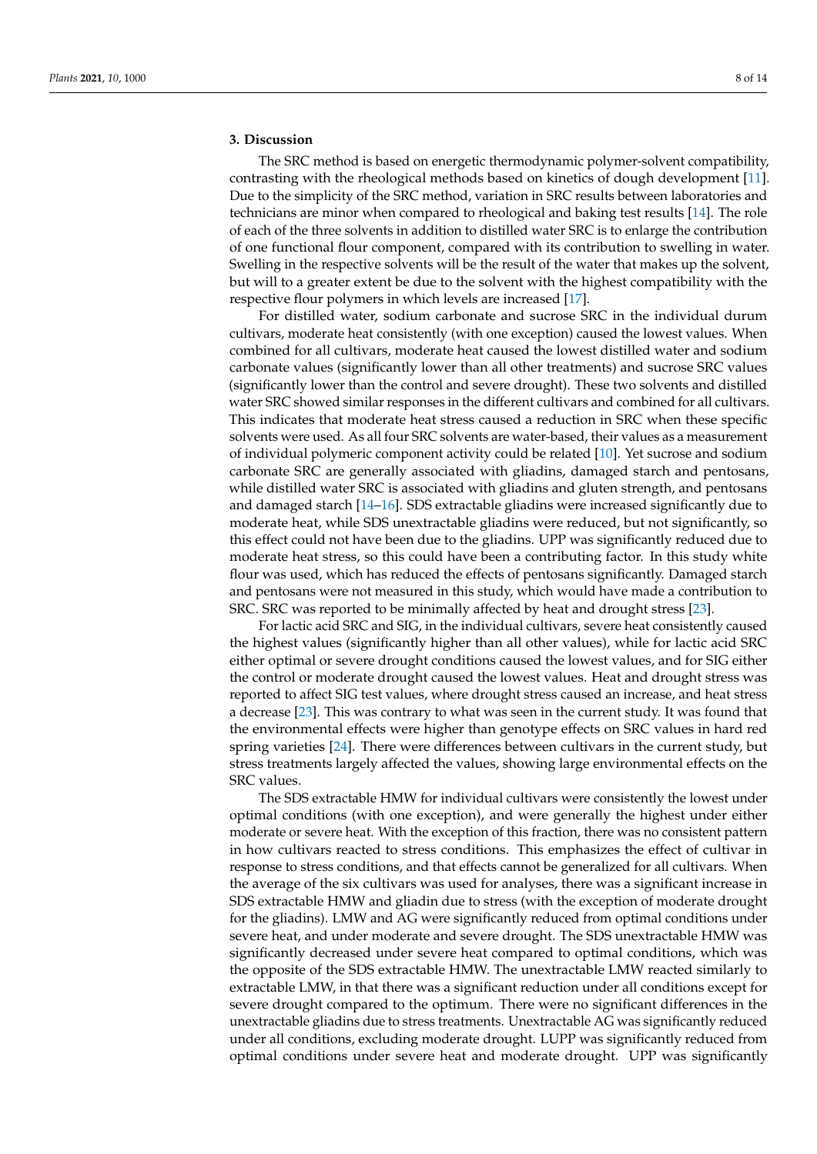## **3. Discussion**

The SRC method is based on energetic thermodynamic polymer-solvent compatibility, contrasting with the rheological methods based on kinetics of dough development [\[11\]](#page-12-10). Due to the simplicity of the SRC method, variation in SRC results between laboratories and technicians are minor when compared to rheological and baking test results [\[14\]](#page-12-13). The role of each of the three solvents in addition to distilled water SRC is to enlarge the contribution of one functional flour component, compared with its contribution to swelling in water. Swelling in the respective solvents will be the result of the water that makes up the solvent, but will to a greater extent be due to the solvent with the highest compatibility with the respective flour polymers in which levels are increased [\[17\]](#page-12-15).

For distilled water, sodium carbonate and sucrose SRC in the individual durum cultivars, moderate heat consistently (with one exception) caused the lowest values. When combined for all cultivars, moderate heat caused the lowest distilled water and sodium carbonate values (significantly lower than all other treatments) and sucrose SRC values (significantly lower than the control and severe drought). These two solvents and distilled water SRC showed similar responses in the different cultivars and combined for all cultivars. This indicates that moderate heat stress caused a reduction in SRC when these specific solvents were used. As all four SRC solvents are water-based, their values as a measurement of individual polymeric component activity could be related [\[10\]](#page-12-9). Yet sucrose and sodium carbonate SRC are generally associated with gliadins, damaged starch and pentosans, while distilled water SRC is associated with gliadins and gluten strength, and pentosans and damaged starch [\[14–](#page-12-13)[16\]](#page-12-14). SDS extractable gliadins were increased significantly due to moderate heat, while SDS unextractable gliadins were reduced, but not significantly, so this effect could not have been due to the gliadins. UPP was significantly reduced due to moderate heat stress, so this could have been a contributing factor. In this study white flour was used, which has reduced the effects of pentosans significantly. Damaged starch and pentosans were not measured in this study, which would have made a contribution to SRC. SRC was reported to be minimally affected by heat and drought stress [\[23\]](#page-12-21).

For lactic acid SRC and SIG, in the individual cultivars, severe heat consistently caused the highest values (significantly higher than all other values), while for lactic acid SRC either optimal or severe drought conditions caused the lowest values, and for SIG either the control or moderate drought caused the lowest values. Heat and drought stress was reported to affect SIG test values, where drought stress caused an increase, and heat stress a decrease [\[23\]](#page-12-21). This was contrary to what was seen in the current study. It was found that the environmental effects were higher than genotype effects on SRC values in hard red spring varieties [\[24\]](#page-12-22). There were differences between cultivars in the current study, but stress treatments largely affected the values, showing large environmental effects on the SRC values.

The SDS extractable HMW for individual cultivars were consistently the lowest under optimal conditions (with one exception), and were generally the highest under either moderate or severe heat. With the exception of this fraction, there was no consistent pattern in how cultivars reacted to stress conditions. This emphasizes the effect of cultivar in response to stress conditions, and that effects cannot be generalized for all cultivars. When the average of the six cultivars was used for analyses, there was a significant increase in SDS extractable HMW and gliadin due to stress (with the exception of moderate drought for the gliadins). LMW and AG were significantly reduced from optimal conditions under severe heat, and under moderate and severe drought. The SDS unextractable HMW was significantly decreased under severe heat compared to optimal conditions, which was the opposite of the SDS extractable HMW. The unextractable LMW reacted similarly to extractable LMW, in that there was a significant reduction under all conditions except for severe drought compared to the optimum. There were no significant differences in the unextractable gliadins due to stress treatments. Unextractable AG was significantly reduced under all conditions, excluding moderate drought. LUPP was significantly reduced from optimal conditions under severe heat and moderate drought. UPP was significantly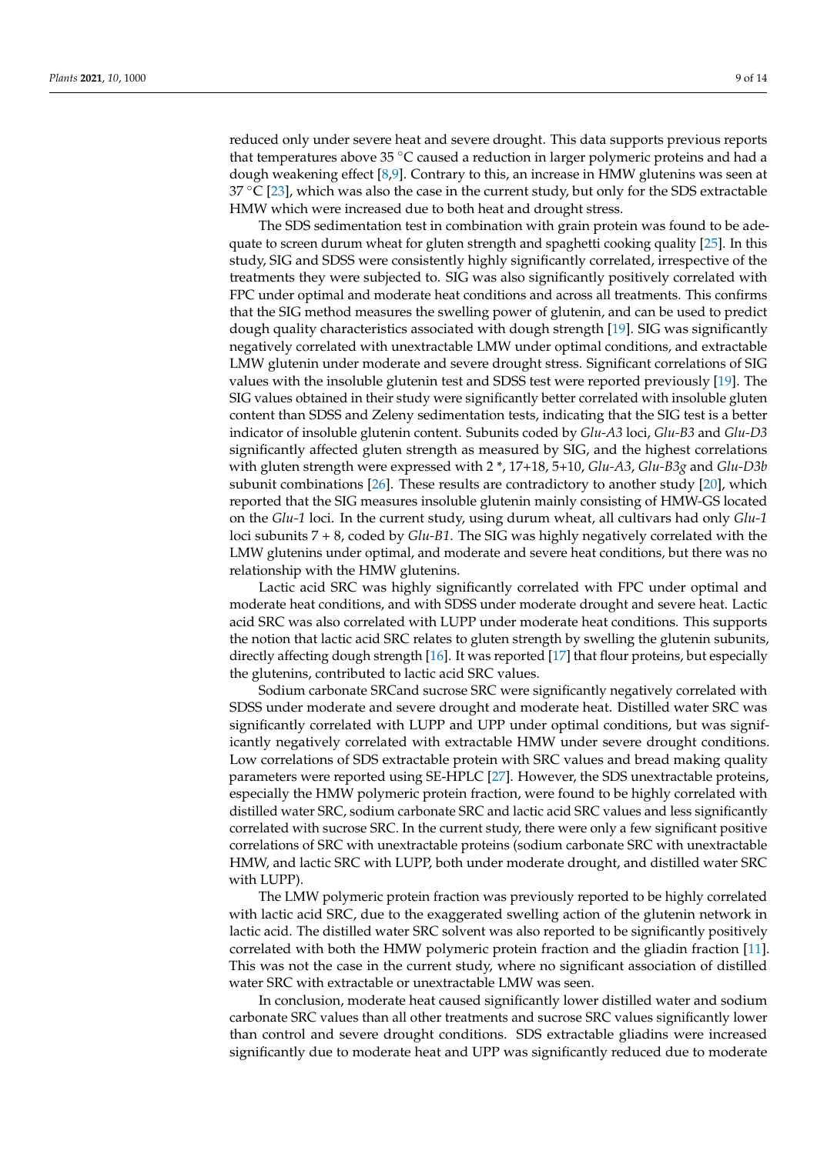reduced only under severe heat and severe drought. This data supports previous reports that temperatures above 35 ◦C caused a reduction in larger polymeric proteins and had a dough weakening effect [\[8,](#page-12-7)[9\]](#page-12-8). Contrary to this, an increase in HMW glutenins was seen at  $37 \text{ °C}$  [\[23\]](#page-12-21), which was also the case in the current study, but only for the SDS extractable HMW which were increased due to both heat and drought stress.

The SDS sedimentation test in combination with grain protein was found to be adequate to screen durum wheat for gluten strength and spaghetti cooking quality [\[25\]](#page-13-0). In this study, SIG and SDSS were consistently highly significantly correlated, irrespective of the treatments they were subjected to. SIG was also significantly positively correlated with FPC under optimal and moderate heat conditions and across all treatments. This confirms that the SIG method measures the swelling power of glutenin, and can be used to predict dough quality characteristics associated with dough strength [\[19\]](#page-12-17). SIG was significantly negatively correlated with unextractable LMW under optimal conditions, and extractable LMW glutenin under moderate and severe drought stress. Significant correlations of SIG values with the insoluble glutenin test and SDSS test were reported previously [\[19\]](#page-12-17). The SIG values obtained in their study were significantly better correlated with insoluble gluten content than SDSS and Zeleny sedimentation tests, indicating that the SIG test is a better indicator of insoluble glutenin content. Subunits coded by *Glu-A3* loci, *Glu-B3* and *Glu-D3* significantly affected gluten strength as measured by SIG, and the highest correlations with gluten strength were expressed with 2 \*, 17+18, 5+10, *Glu-A3*, *Glu-B3g* and *Glu-D3b* subunit combinations [\[26\]](#page-13-1). These results are contradictory to another study [\[20\]](#page-12-18), which reported that the SIG measures insoluble glutenin mainly consisting of HMW-GS located on the *Glu-1* loci. In the current study, using durum wheat, all cultivars had only *Glu-1* loci subunits 7 + 8, coded by *Glu-B1*. The SIG was highly negatively correlated with the LMW glutenins under optimal, and moderate and severe heat conditions, but there was no relationship with the HMW glutenins.

Lactic acid SRC was highly significantly correlated with FPC under optimal and moderate heat conditions, and with SDSS under moderate drought and severe heat. Lactic acid SRC was also correlated with LUPP under moderate heat conditions. This supports the notion that lactic acid SRC relates to gluten strength by swelling the glutenin subunits, directly affecting dough strength [\[16\]](#page-12-14). It was reported [\[17\]](#page-12-15) that flour proteins, but especially the glutenins, contributed to lactic acid SRC values.

Sodium carbonate SRCand sucrose SRC were significantly negatively correlated with SDSS under moderate and severe drought and moderate heat. Distilled water SRC was significantly correlated with LUPP and UPP under optimal conditions, but was significantly negatively correlated with extractable HMW under severe drought conditions. Low correlations of SDS extractable protein with SRC values and bread making quality parameters were reported using SE-HPLC [\[27\]](#page-13-2). However, the SDS unextractable proteins, especially the HMW polymeric protein fraction, were found to be highly correlated with distilled water SRC, sodium carbonate SRC and lactic acid SRC values and less significantly correlated with sucrose SRC. In the current study, there were only a few significant positive correlations of SRC with unextractable proteins (sodium carbonate SRC with unextractable HMW, and lactic SRC with LUPP, both under moderate drought, and distilled water SRC with LUPP).

The LMW polymeric protein fraction was previously reported to be highly correlated with lactic acid SRC, due to the exaggerated swelling action of the glutenin network in lactic acid. The distilled water SRC solvent was also reported to be significantly positively correlated with both the HMW polymeric protein fraction and the gliadin fraction [\[11\]](#page-12-10). This was not the case in the current study, where no significant association of distilled water SRC with extractable or unextractable LMW was seen.

In conclusion, moderate heat caused significantly lower distilled water and sodium carbonate SRC values than all other treatments and sucrose SRC values significantly lower than control and severe drought conditions. SDS extractable gliadins were increased significantly due to moderate heat and UPP was significantly reduced due to moderate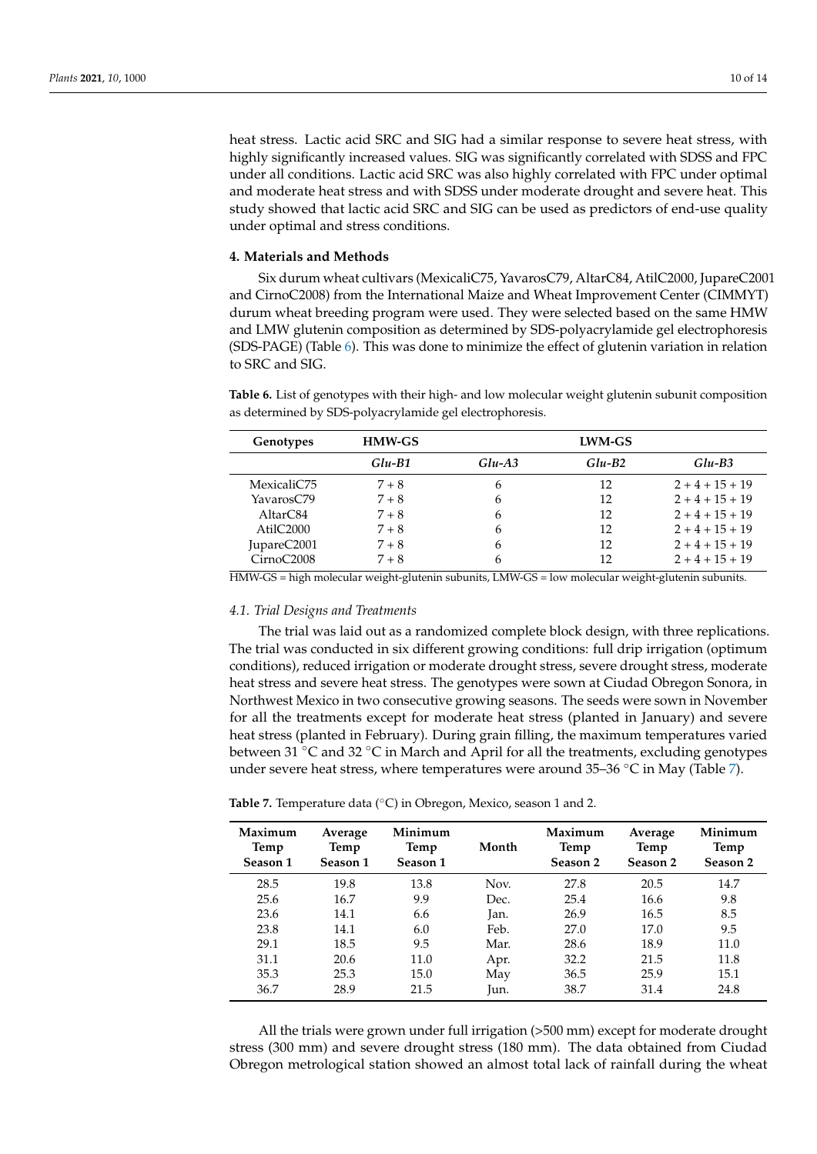heat stress. Lactic acid SRC and SIG had a similar response to severe heat stress, with highly significantly increased values. SIG was significantly correlated with SDSS and FPC under all conditions. Lactic acid SRC was also highly correlated with FPC under optimal and moderate heat stress and with SDSS under moderate drought and severe heat. This study showed that lactic acid SRC and SIG can be used as predictors of end-use quality under optimal and stress conditions.

#### **4. Materials and Methods**

Six durum wheat cultivars (MexicaliC75, YavarosC79, AltarC84, AtilC2000, JupareC2001 and CirnoC2008) from the International Maize and Wheat Improvement Center (CIMMYT) durum wheat breeding program were used. They were selected based on the same HMW and LMW glutenin composition as determined by SDS-polyacrylamide gel electrophoresis (SDS-PAGE) (Table [6\)](#page-9-0). This was done to minimize the effect of glutenin variation in relation to SRC and SIG.

<span id="page-9-0"></span>**Table 6.** List of genotypes with their high- and low molecular weight glutenin subunit composition as determined by SDS-polyacrylamide gel electrophoresis.

| Genotypes            | HMW-GS   |           | LWM-GS   |             |
|----------------------|----------|-----------|----------|-------------|
|                      | $Glu-B1$ | $Glu- A3$ | $Glu-B2$ | $Glu-B3$    |
| MexicaliC75          | $7 + 8$  | 6         | 12       | $2+4+15+19$ |
| YavarosC79           | $7 + 8$  | 6         | 12       | $2+4+15+19$ |
| AltarC <sub>84</sub> | $7 + 8$  | 6         | 12       | $2+4+15+19$ |
| Atil $C2000$         | $7 + 8$  | 6         | 12       | $2+4+15+19$ |
| JupareC2001          | $7 + 8$  | 6         | 12       | $2+4+15+19$ |
| CirnoC2008           | $7 + 8$  | h         | 12       | $2+4+15+19$ |

HMW-GS = high molecular weight-glutenin subunits, LMW-GS = low molecular weight-glutenin subunits.

#### *4.1. Trial Designs and Treatments*

The trial was laid out as a randomized complete block design, with three replications. The trial was conducted in six different growing conditions: full drip irrigation (optimum conditions), reduced irrigation or moderate drought stress, severe drought stress, moderate heat stress and severe heat stress. The genotypes were sown at Ciudad Obregon Sonora, in Northwest Mexico in two consecutive growing seasons. The seeds were sown in November for all the treatments except for moderate heat stress (planted in January) and severe heat stress (planted in February). During grain filling, the maximum temperatures varied between 31  $\degree$ C and 32  $\degree$ C in March and April for all the treatments, excluding genotypes under severe heat stress, where temperatures were around  $35-36\degree C$  in May (Table [7\)](#page-9-1).

<span id="page-9-1"></span>**Table 7.** Temperature data (◦C) in Obregon, Mexico, season 1 and 2.

| Maximum<br>Temp<br>Season 1 | Average<br>Temp<br>Season 1 | Minimum<br>Temp<br>Season 1 | Month | Maximum<br>Temp<br>Season 2 | Average<br>Temp<br>Season 2 | Minimum<br>Temp<br>Season 2 |
|-----------------------------|-----------------------------|-----------------------------|-------|-----------------------------|-----------------------------|-----------------------------|
| 28.5                        | 19.8                        | 13.8                        | Nov.  | 27.8                        | 20.5                        | 14.7                        |
| 25.6                        | 16.7                        | 9.9                         | Dec.  | 25.4                        | 16.6                        | 9.8                         |
| 23.6                        | 14.1                        | 6.6                         | Jan.  | 26.9                        | 16.5                        | 8.5                         |
| 23.8                        | 14.1                        | 6.0                         | Feb.  | 27.0                        | 17.0                        | 9.5                         |
| 29.1                        | 18.5                        | 9.5                         | Mar.  | 28.6                        | 18.9                        | 11.0                        |
| 31.1                        | 20.6                        | 11.0                        | Apr.  | 32.2                        | 21.5                        | 11.8                        |
| 35.3                        | 25.3                        | 15.0                        | May   | 36.5                        | 25.9                        | 15.1                        |
| 36.7                        | 28.9                        | 21.5                        | Iun.  | 38.7                        | 31.4                        | 24.8                        |

All the trials were grown under full irrigation (>500 mm) except for moderate drought stress (300 mm) and severe drought stress (180 mm). The data obtained from Ciudad Obregon metrological station showed an almost total lack of rainfall during the wheat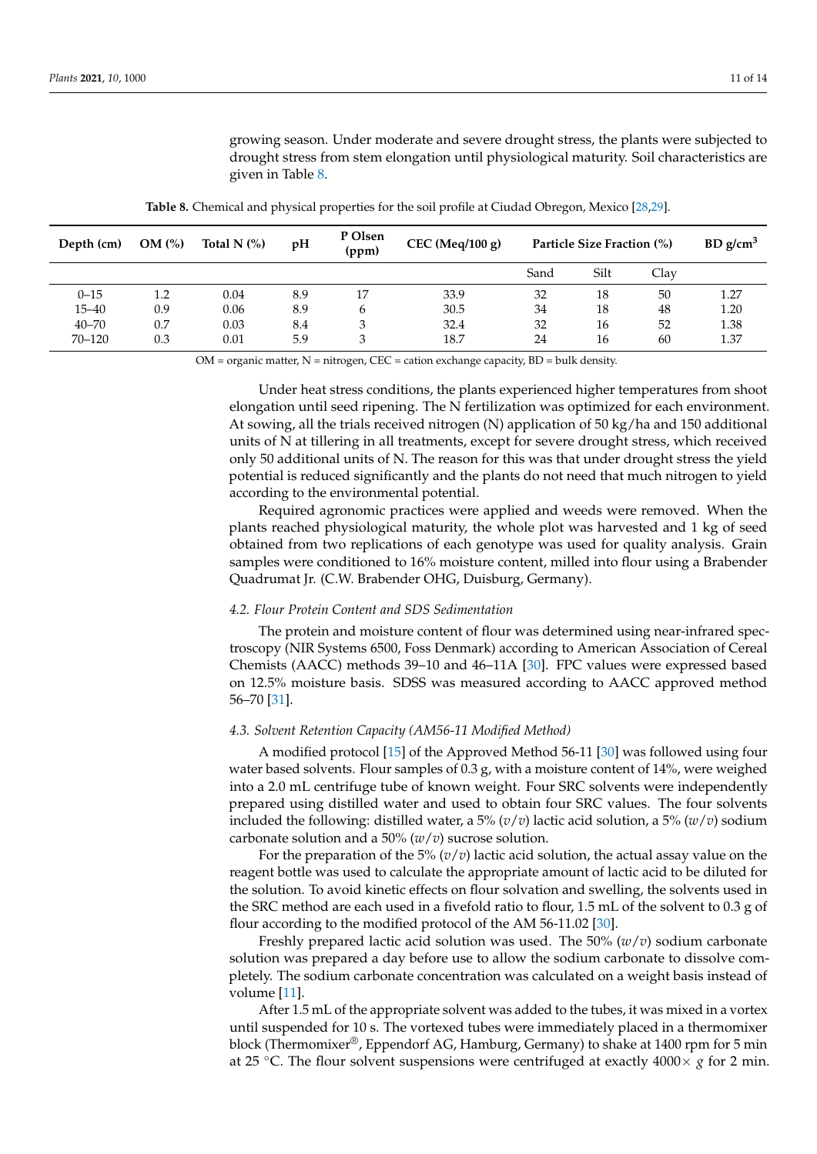growing season. Under moderate and severe drought stress, the plants were subjected to drought stress from stem elongation until physiological maturity. Soil characteristics are given in Table [8.](#page-10-0)

<span id="page-10-0"></span>

| Depth (cm) | OM (%) | Total N $(%)$ | pH  | P Olsen<br>(ppm) | $CEC$ (Meq/100 g) | Particle Size Fraction (%) |      |      | BD g/cm <sup>3</sup> |
|------------|--------|---------------|-----|------------------|-------------------|----------------------------|------|------|----------------------|
|            |        |               |     |                  |                   | Sand                       | Silt | Clay |                      |
| $0 - 15$   | 1.2    | 0.04          | 8.9 | 17               | 33.9              | 32                         | 18   | 50   | 1.27                 |
| $15 - 40$  | 0.9    | 0.06          | 8.9 | b                | 30.5              | 34                         | 18   | 48   | 1.20                 |
| $40 - 70$  | 0.7    | 0.03          | 8.4 | 3                | 32.4              | 32                         | 16   | 52   | 1.38                 |
| $70 - 120$ | 0.3    | 0.01          | 5.9 | 3                | 18.7              | 24                         | 16   | 60   | 1.37                 |

**Table 8.** Chemical and physical properties for the soil profile at Ciudad Obregon, Mexico [\[28,](#page-13-3)[29\]](#page-13-4).

 $OM =$  organic matter,  $N =$  nitrogen,  $CEC =$  cation exchange capacity,  $BD =$  bulk density.

Under heat stress conditions, the plants experienced higher temperatures from shoot elongation until seed ripening. The N fertilization was optimized for each environment. At sowing, all the trials received nitrogen (N) application of 50 kg/ha and 150 additional units of N at tillering in all treatments, except for severe drought stress, which received only 50 additional units of N. The reason for this was that under drought stress the yield potential is reduced significantly and the plants do not need that much nitrogen to yield according to the environmental potential.

Required agronomic practices were applied and weeds were removed. When the plants reached physiological maturity, the whole plot was harvested and 1 kg of seed obtained from two replications of each genotype was used for quality analysis. Grain samples were conditioned to 16% moisture content, milled into flour using a Brabender Quadrumat Jr. (C.W. Brabender OHG, Duisburg, Germany).

#### *4.2. Flour Protein Content and SDS Sedimentation*

The protein and moisture content of flour was determined using near-infrared spectroscopy (NIR Systems 6500, Foss Denmark) according to American Association of Cereal Chemists (AACC) methods 39–10 and 46–11A [\[30\]](#page-13-5). FPC values were expressed based on 12.5% moisture basis. SDSS was measured according to AACC approved method 56–70 [\[31\]](#page-13-6).

## *4.3. Solvent Retention Capacity (AM56-11 Modified Method)*

A modified protocol [\[15\]](#page-12-23) of the Approved Method 56-11 [\[30\]](#page-13-5) was followed using four water based solvents. Flour samples of 0.3 g, with a moisture content of 14%, were weighed into a 2.0 mL centrifuge tube of known weight. Four SRC solvents were independently prepared using distilled water and used to obtain four SRC values. The four solvents included the following: distilled water, a 5% (*v*/*v*) lactic acid solution, a 5% (*w*/*v*) sodium carbonate solution and a 50% (*w*/*v*) sucrose solution.

For the preparation of the 5% (*v*/*v*) lactic acid solution, the actual assay value on the reagent bottle was used to calculate the appropriate amount of lactic acid to be diluted for the solution. To avoid kinetic effects on flour solvation and swelling, the solvents used in the SRC method are each used in a fivefold ratio to flour, 1.5 mL of the solvent to 0.3 g of flour according to the modified protocol of the AM 56-11.02 [\[30\]](#page-13-5).

Freshly prepared lactic acid solution was used. The 50% (*w*/*v*) sodium carbonate solution was prepared a day before use to allow the sodium carbonate to dissolve completely. The sodium carbonate concentration was calculated on a weight basis instead of volume [\[11\]](#page-12-10).

After 1.5 mL of the appropriate solvent was added to the tubes, it was mixed in a vortex until suspended for 10 s. The vortexed tubes were immediately placed in a thermomixer block (Thermomixer<sup>®</sup>, Eppendorf AG, Hamburg, Germany) to shake at 1400 rpm for 5 min at 25 °C. The flour solvent suspensions were centrifuged at exactly  $4000 \times g$  for 2 min.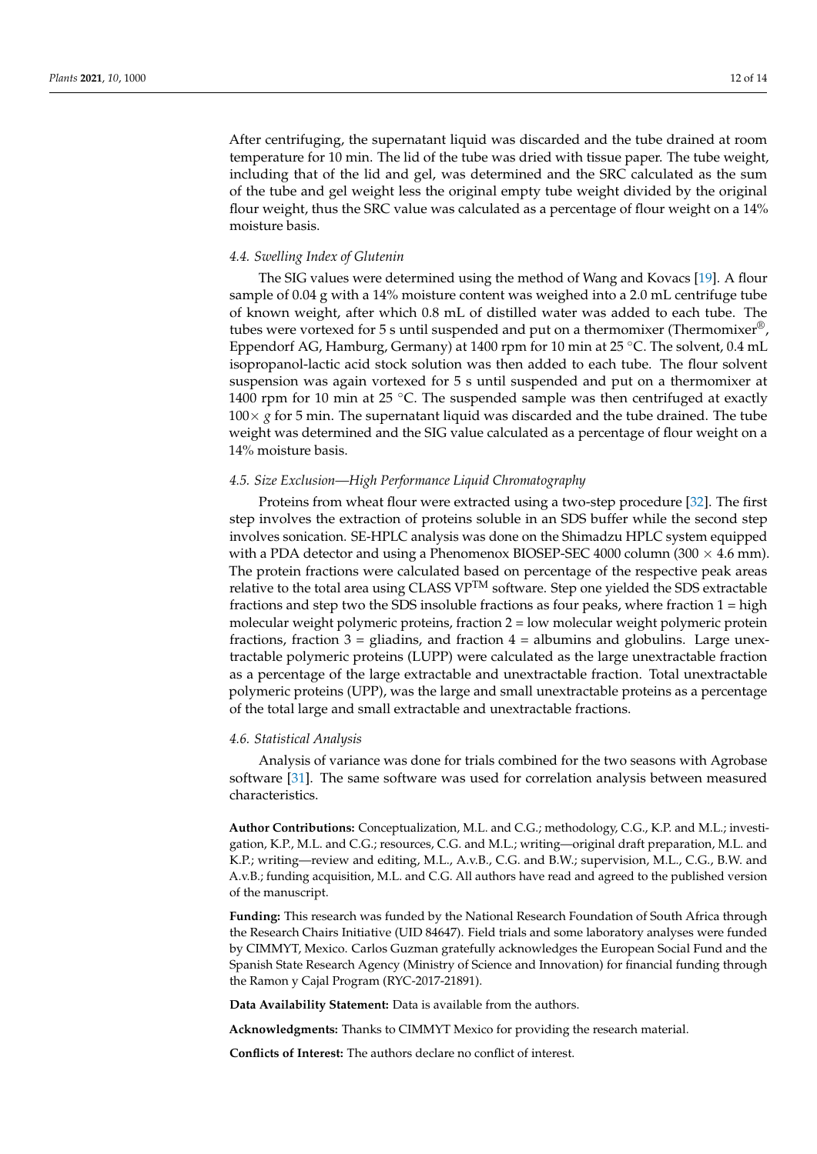After centrifuging, the supernatant liquid was discarded and the tube drained at room temperature for 10 min. The lid of the tube was dried with tissue paper. The tube weight, including that of the lid and gel, was determined and the SRC calculated as the sum of the tube and gel weight less the original empty tube weight divided by the original flour weight, thus the SRC value was calculated as a percentage of flour weight on a 14% moisture basis.

#### *4.4. Swelling Index of Glutenin*

The SIG values were determined using the method of Wang and Kovacs [\[19\]](#page-12-17). A flour sample of 0.04 g with a 14% moisture content was weighed into a 2.0 mL centrifuge tube of known weight, after which 0.8 mL of distilled water was added to each tube. The tubes were vortexed for 5 s until suspended and put on a thermomixer (Thermomixer®, Eppendorf AG, Hamburg, Germany) at 1400 rpm for 10 min at 25 ◦C. The solvent, 0.4 mL isopropanol-lactic acid stock solution was then added to each tube. The flour solvent suspension was again vortexed for 5 s until suspended and put on a thermomixer at 1400 rpm for 10 min at 25  $°C$ . The suspended sample was then centrifuged at exactly  $100\times g$  for 5 min. The supernatant liquid was discarded and the tube drained. The tube weight was determined and the SIG value calculated as a percentage of flour weight on a 14% moisture basis.

## *4.5. Size Exclusion—High Performance Liquid Chromatography*

Proteins from wheat flour were extracted using a two-step procedure [\[32\]](#page-13-7). The first step involves the extraction of proteins soluble in an SDS buffer while the second step involves sonication. SE-HPLC analysis was done on the Shimadzu HPLC system equipped with a PDA detector and using a Phenomenox BIOSEP-SEC 4000 column (300  $\times$  4.6 mm). The protein fractions were calculated based on percentage of the respective peak areas relative to the total area using CLASS  $VP^{TM}$  software. Step one yielded the SDS extractable fractions and step two the SDS insoluble fractions as four peaks, where fraction 1 = high molecular weight polymeric proteins, fraction 2 = low molecular weight polymeric protein fractions, fraction  $3 =$  gliadins, and fraction  $4 =$  albumins and globulins. Large unextractable polymeric proteins (LUPP) were calculated as the large unextractable fraction as a percentage of the large extractable and unextractable fraction. Total unextractable polymeric proteins (UPP), was the large and small unextractable proteins as a percentage of the total large and small extractable and unextractable fractions.

#### *4.6. Statistical Analysis*

Analysis of variance was done for trials combined for the two seasons with Agrobase software [\[31\]](#page-13-6). The same software was used for correlation analysis between measured characteristics.

**Author Contributions:** Conceptualization, M.L. and C.G.; methodology, C.G., K.P. and M.L.; investigation, K.P., M.L. and C.G.; resources, C.G. and M.L.; writing—original draft preparation, M.L. and K.P.; writing—review and editing, M.L., A.v.B., C.G. and B.W.; supervision, M.L., C.G., B.W. and A.v.B.; funding acquisition, M.L. and C.G. All authors have read and agreed to the published version of the manuscript.

**Funding:** This research was funded by the National Research Foundation of South Africa through the Research Chairs Initiative (UID 84647). Field trials and some laboratory analyses were funded by CIMMYT, Mexico. Carlos Guzman gratefully acknowledges the European Social Fund and the Spanish State Research Agency (Ministry of Science and Innovation) for financial funding through the Ramon y Cajal Program (RYC-2017-21891).

**Data Availability Statement:** Data is available from the authors.

**Acknowledgments:** Thanks to CIMMYT Mexico for providing the research material.

**Conflicts of Interest:** The authors declare no conflict of interest.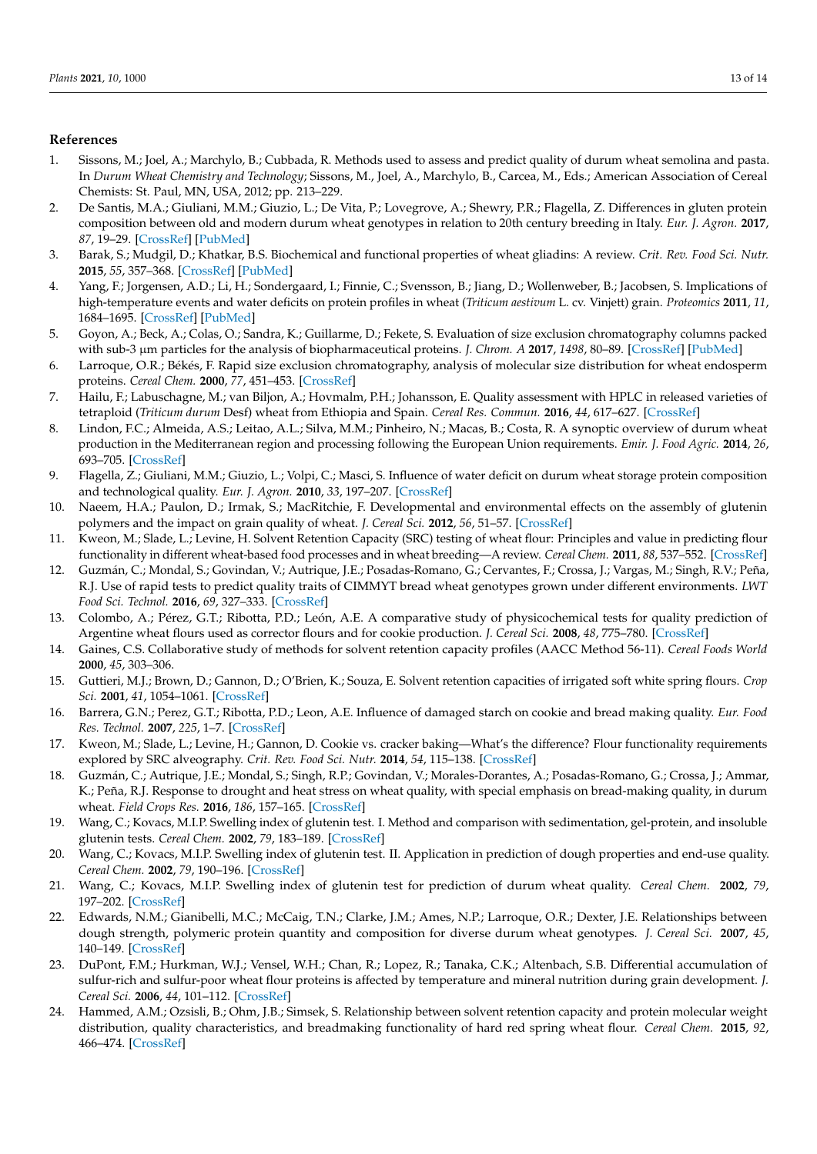## **References**

- <span id="page-12-0"></span>1. Sissons, M.; Joel, A.; Marchylo, B.; Cubbada, R. Methods used to assess and predict quality of durum wheat semolina and pasta. In *Durum Wheat Chemistry and Technology*; Sissons, M., Joel, A., Marchylo, B., Carcea, M., Eds.; American Association of Cereal Chemists: St. Paul, MN, USA, 2012; pp. 213–229.
- <span id="page-12-1"></span>2. De Santis, M.A.; Giuliani, M.M.; Giuzio, L.; De Vita, P.; Lovegrove, A.; Shewry, P.R.; Flagella, Z. Differences in gluten protein composition between old and modern durum wheat genotypes in relation to 20th century breeding in Italy. *Eur. J. Agron.* **2017**, *87*, 19–29. [\[CrossRef\]](http://doi.org/10.1016/j.eja.2017.04.003) [\[PubMed\]](http://www.ncbi.nlm.nih.gov/pubmed/28769550)
- <span id="page-12-2"></span>3. Barak, S.; Mudgil, D.; Khatkar, B.S. Biochemical and functional properties of wheat gliadins: A review. *Crit. Rev. Food Sci. Nutr.* **2015**, *55*, 357–368. [\[CrossRef\]](http://doi.org/10.1080/10408398.2012.654863) [\[PubMed\]](http://www.ncbi.nlm.nih.gov/pubmed/24915383)
- <span id="page-12-3"></span>4. Yang, F.; Jorgensen, A.D.; Li, H.; Sondergaard, I.; Finnie, C.; Svensson, B.; Jiang, D.; Wollenweber, B.; Jacobsen, S. Implications of high-temperature events and water deficits on protein profiles in wheat (*Triticum aestivum* L. cv. Vinjett) grain. *Proteomics* **2011**, *11*, 1684–1695. [\[CrossRef\]](http://doi.org/10.1002/pmic.201000654) [\[PubMed\]](http://www.ncbi.nlm.nih.gov/pubmed/21433286)
- <span id="page-12-4"></span>5. Goyon, A.; Beck, A.; Colas, O.; Sandra, K.; Guillarme, D.; Fekete, S. Evaluation of size exclusion chromatography columns packed with sub-3 µm particles for the analysis of biopharmaceutical proteins. *J. Chrom. A* **2017**, *1498*, 80–89. [\[CrossRef\]](http://doi.org/10.1016/j.chroma.2016.11.056) [\[PubMed\]](http://www.ncbi.nlm.nih.gov/pubmed/27914608)
- <span id="page-12-5"></span>6. Larroque, O.R.; Békés, F. Rapid size exclusion chromatography, analysis of molecular size distribution for wheat endosperm proteins. *Cereal Chem.* **2000**, *77*, 451–453. [\[CrossRef\]](http://doi.org/10.1094/CCHEM.2000.77.4.451)
- <span id="page-12-6"></span>7. Hailu, F.; Labuschagne, M.; van Biljon, A.; Hovmalm, P.H.; Johansson, E. Quality assessment with HPLC in released varieties of tetraploid (*Triticum durum* Desf) wheat from Ethiopia and Spain. *Cereal Res. Commun.* **2016**, *44*, 617–627. [\[CrossRef\]](http://doi.org/10.1556/0806.44.2016.040)
- <span id="page-12-7"></span>8. Lindon, F.C.; Almeida, A.S.; Leitao, A.L.; Silva, M.M.; Pinheiro, N.; Macas, B.; Costa, R. A synoptic overview of durum wheat production in the Mediterranean region and processing following the European Union requirements. *Emir. J. Food Agric.* **2014**, *26*, 693–705. [\[CrossRef\]](http://doi.org/10.9755/ejfa.v26i8.17066)
- <span id="page-12-8"></span>9. Flagella, Z.; Giuliani, M.M.; Giuzio, L.; Volpi, C.; Masci, S. Influence of water deficit on durum wheat storage protein composition and technological quality. *Eur. J. Agron.* **2010**, *33*, 197–207. [\[CrossRef\]](http://doi.org/10.1016/j.eja.2010.05.006)
- <span id="page-12-9"></span>10. Naeem, H.A.; Paulon, D.; Irmak, S.; MacRitchie, F. Developmental and environmental effects on the assembly of glutenin polymers and the impact on grain quality of wheat. *J. Cereal Sci.* **2012**, *56*, 51–57. [\[CrossRef\]](http://doi.org/10.1016/j.jcs.2011.10.014)
- <span id="page-12-10"></span>11. Kweon, M.; Slade, L.; Levine, H. Solvent Retention Capacity (SRC) testing of wheat flour: Principles and value in predicting flour functionality in different wheat-based food processes and in wheat breeding—A review. *Cereal Chem.* **2011**, *88*, 537–552. [\[CrossRef\]](http://doi.org/10.1094/CCHEM-07-11-0092)
- <span id="page-12-11"></span>12. Guzmán, C.; Mondal, S.; Govindan, V.; Autrique, J.E.; Posadas-Romano, G.; Cervantes, F.; Crossa, J.; Vargas, M.; Singh, R.V.; Peña, R.J. Use of rapid tests to predict quality traits of CIMMYT bread wheat genotypes grown under different environments. *LWT Food Sci. Technol.* **2016**, *69*, 327–333. [\[CrossRef\]](http://doi.org/10.1016/j.lwt.2016.01.068)
- <span id="page-12-12"></span>13. Colombo, A.; Pérez, G.T.; Ribotta, P.D.; León, A.E. A comparative study of physicochemical tests for quality prediction of Argentine wheat flours used as corrector flours and for cookie production. *J. Cereal Sci.* **2008**, *48*, 775–780. [\[CrossRef\]](http://doi.org/10.1016/j.jcs.2008.05.003)
- <span id="page-12-13"></span>14. Gaines, C.S. Collaborative study of methods for solvent retention capacity profiles (AACC Method 56-11). *Cereal Foods World* **2000**, *45*, 303–306.
- <span id="page-12-23"></span>15. Guttieri, M.J.; Brown, D.; Gannon, D.; O'Brien, K.; Souza, E. Solvent retention capacities of irrigated soft white spring flours. *Crop Sci.* **2001**, *41*, 1054–1061. [\[CrossRef\]](http://doi.org/10.2135/cropsci2001.4141054x)
- <span id="page-12-14"></span>16. Barrera, G.N.; Perez, G.T.; Ribotta, P.D.; Leon, A.E. Influence of damaged starch on cookie and bread making quality. *Eur. Food Res. Technol.* **2007**, *225*, 1–7. [\[CrossRef\]](http://doi.org/10.1007/s00217-006-0374-1)
- <span id="page-12-15"></span>17. Kweon, M.; Slade, L.; Levine, H.; Gannon, D. Cookie vs. cracker baking—What's the difference? Flour functionality requirements explored by SRC alveography. *Crit. Rev. Food Sci. Nutr.* **2014**, *54*, 115–138. [\[CrossRef\]](http://doi.org/10.1080/10408398.2011.578469)
- <span id="page-12-16"></span>18. Guzmán, C.; Autrique, J.E.; Mondal, S.; Singh, R.P.; Govindan, V.; Morales-Dorantes, A.; Posadas-Romano, G.; Crossa, J.; Ammar, K.; Peña, R.J. Response to drought and heat stress on wheat quality, with special emphasis on bread-making quality, in durum wheat. *Field Crops Res.* **2016**, *186*, 157–165. [\[CrossRef\]](http://doi.org/10.1016/j.fcr.2015.12.002)
- <span id="page-12-17"></span>19. Wang, C.; Kovacs, M.I.P. Swelling index of glutenin test. I. Method and comparison with sedimentation, gel-protein, and insoluble glutenin tests. *Cereal Chem.* **2002**, *79*, 183–189. [\[CrossRef\]](http://doi.org/10.1094/CCHEM.2002.79.2.183)
- <span id="page-12-18"></span>20. Wang, C.; Kovacs, M.I.P. Swelling index of glutenin test. II. Application in prediction of dough properties and end-use quality. *Cereal Chem.* **2002**, *79*, 190–196. [\[CrossRef\]](http://doi.org/10.1094/CCHEM.2002.79.2.190)
- <span id="page-12-19"></span>21. Wang, C.; Kovacs, M.I.P. Swelling index of glutenin test for prediction of durum wheat quality. *Cereal Chem.* **2002**, *79*, 197–202. [\[CrossRef\]](http://doi.org/10.1094/CCHEM.2002.79.2.197)
- <span id="page-12-20"></span>22. Edwards, N.M.; Gianibelli, M.C.; McCaig, T.N.; Clarke, J.M.; Ames, N.P.; Larroque, O.R.; Dexter, J.E. Relationships between dough strength, polymeric protein quantity and composition for diverse durum wheat genotypes. *J. Cereal Sci.* **2007**, *45*, 140–149. [\[CrossRef\]](http://doi.org/10.1016/j.jcs.2006.07.012)
- <span id="page-12-21"></span>23. DuPont, F.M.; Hurkman, W.J.; Vensel, W.H.; Chan, R.; Lopez, R.; Tanaka, C.K.; Altenbach, S.B. Differential accumulation of sulfur-rich and sulfur-poor wheat flour proteins is affected by temperature and mineral nutrition during grain development. *J. Cereal Sci.* **2006**, *44*, 101–112. [\[CrossRef\]](http://doi.org/10.1016/j.jcs.2006.04.003)
- <span id="page-12-22"></span>24. Hammed, A.M.; Ozsisli, B.; Ohm, J.B.; Simsek, S. Relationship between solvent retention capacity and protein molecular weight distribution, quality characteristics, and breadmaking functionality of hard red spring wheat flour. *Cereal Chem.* **2015**, *92*, 466–474. [\[CrossRef\]](http://doi.org/10.1094/CCHEM-12-14-0262-R)